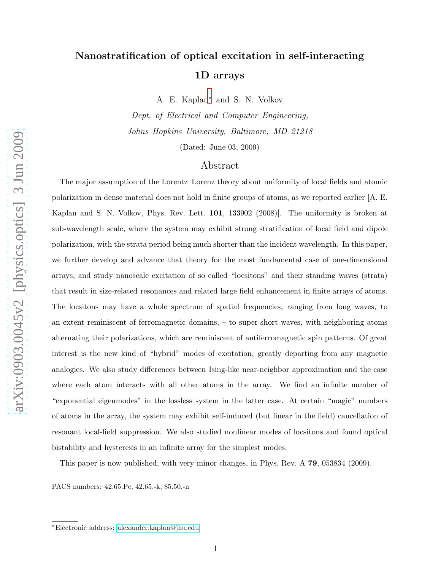# Nanostratification of optical excitation in self-interacting 1D arrays

A. E. Kaplan[∗](#page-0-0) and S. N. Volkov

Dept. of Electrical and Computer Engineering, Johns Hopkins University, Baltimore, MD 21218

(Dated: June 03, 2009)

### Abstract

The major assumption of the Lorentz–Lorenz theory about uniformity of local fields and atomic polarization in dense material does not hold in finite groups of atoms, as we reported earlier [A. E. Kaplan and S. N. Volkov, Phys. Rev. Lett. 101, 133902 (2008)]. The uniformity is broken at sub-wavelength scale, where the system may exhibit strong stratification of local field and dipole polarization, with the strata period being much shorter than the incident wavelength. In this paper, we further develop and advance that theory for the most fundamental case of one-dimensional arrays, and study nanoscale excitation of so called "locsitons" and their standing waves (strata) that result in size-related resonances and related large field enhancement in finite arrays of atoms. The locsitons may have a whole spectrum of spatial frequencies, ranging from long waves, to an extent reminiscent of ferromagnetic domains, – to super-short waves, with neighboring atoms alternating their polarizations, which are reminiscent of antiferromagnetic spin patterns. Of great interest is the new kind of "hybrid" modes of excitation, greatly departing from any magnetic analogies. We also study differences between Ising-like near-neighbor approximation and the case where each atom interacts with all other atoms in the array. We find an infinite number of "exponential eigenmodes" in the lossless system in the latter case. At certain "magic" numbers of atoms in the array, the system may exhibit self-induced (but linear in the field) cancellation of resonant local-field suppression. We also studied nonlinear modes of locsitons and found optical bistability and hysteresis in an infinite array for the simplest modes.

This paper is now published, with very minor changes, in Phys. Rev. A 79, 053834 (2009).

PACS numbers: 42.65.Pc, 42.65.-k, 85.50.-n

<span id="page-0-0"></span><sup>∗</sup>Electronic address: [alexander.kaplan@jhu.edu](mailto:alexander.kaplan@jhu.edu)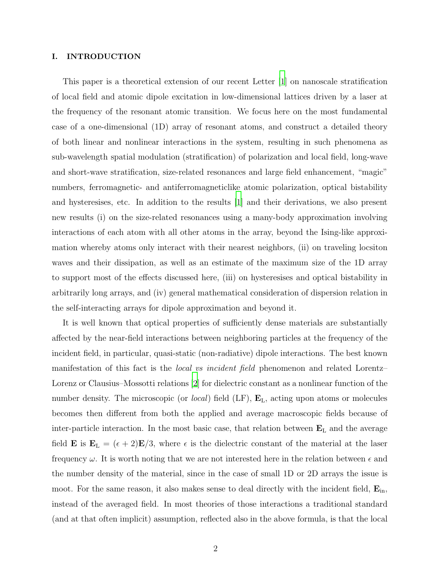#### I. INTRODUCTION

This paper is a theoretical extension of our recent Letter [\[1\]](#page-37-0) on nanoscale stratification of local field and atomic dipole excitation in low-dimensional lattices driven by a laser at the frequency of the resonant atomic transition. We focus here on the most fundamental case of a one-dimensional (1D) array of resonant atoms, and construct a detailed theory of both linear and nonlinear interactions in the system, resulting in such phenomena as sub-wavelength spatial modulation (stratification) of polarization and local field, long-wave and short-wave stratification, size-related resonances and large field enhancement, "magic" numbers, ferromagnetic- and antiferromagneticlike atomic polarization, optical bistability and hysteresises, etc. In addition to the results [\[1\]](#page-37-0) and their derivations, we also present new results (i) on the size-related resonances using a many-body approximation involving interactions of each atom with all other atoms in the array, beyond the Ising-like approximation whereby atoms only interact with their nearest neighbors, (ii) on traveling locsiton waves and their dissipation, as well as an estimate of the maximum size of the 1D array to support most of the effects discussed here, (iii) on hysteresises and optical bistability in arbitrarily long arrays, and (iv) general mathematical consideration of dispersion relation in the self-interacting arrays for dipole approximation and beyond it.

It is well known that optical properties of sufficiently dense materials are substantially affected by the near-field interactions between neighboring particles at the frequency of the incident field, in particular, quasi-static (non-radiative) dipole interactions. The best known manifestation of this fact is the local vs incident field phenomenon and related Lorentz– Lorenz or Clausius–Mossotti relations [\[2](#page-37-1)] for dielectric constant as a nonlinear function of the number density. The microscopic (or *local*) field (LF),  $\mathbf{E}_{\text{L}}$ , acting upon atoms or molecules becomes then different from both the applied and average macroscopic fields because of inter-particle interaction. In the most basic case, that relation between  $\mathbf{E}_{\text{L}}$  and the average field **E** is  $\mathbf{E}_{\text{L}} = (\epsilon + 2)\mathbf{E}/3$ , where  $\epsilon$  is the dielectric constant of the material at the laser frequency  $\omega$ . It is worth noting that we are not interested here in the relation between  $\epsilon$  and the number density of the material, since in the case of small 1D or 2D arrays the issue is moot. For the same reason, it also makes sense to deal directly with the incident field,  $\mathbf{E}_{\text{in}}$ , instead of the averaged field. In most theories of those interactions a traditional standard (and at that often implicit) assumption, reflected also in the above formula, is that the local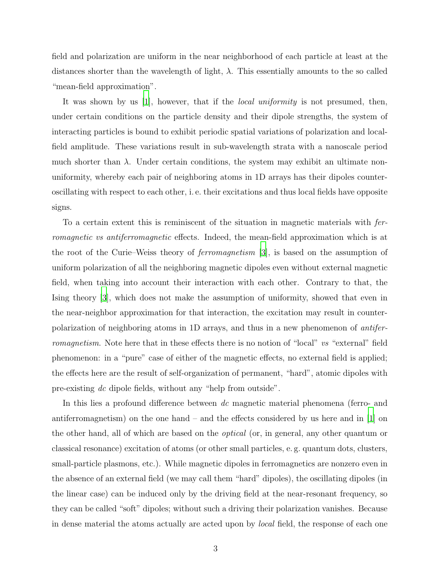field and polarization are uniform in the near neighborhood of each particle at least at the distances shorter than the wavelength of light,  $\lambda$ . This essentially amounts to the so called "mean-field approximation".

It was shown by us |1|, however, that if the *local uniformity* is not presumed, then, under certain conditions on the particle density and their dipole strengths, the system of interacting particles is bound to exhibit periodic spatial variations of polarization and localfield amplitude. These variations result in sub-wavelength strata with a nanoscale period much shorter than  $\lambda$ . Under certain conditions, the system may exhibit an ultimate nonuniformity, whereby each pair of neighboring atoms in 1D arrays has their dipoles counteroscillating with respect to each other, i. e. their excitations and thus local fields have opposite signs.

To a certain extent this is reminiscent of the situation in magnetic materials with ferromagnetic vs antiferromagnetic effects. Indeed, the mean-field approximation which is at the root of the Curie–Weiss theory of ferromagnetism [\[3\]](#page-37-2), is based on the assumption of uniform polarization of all the neighboring magnetic dipoles even without external magnetic field, when taking into account their interaction with each other. Contrary to that, the Ising theory [\[3\]](#page-37-2), which does not make the assumption of uniformity, showed that even in the near-neighbor approximation for that interaction, the excitation may result in counterpolarization of neighboring atoms in 1D arrays, and thus in a new phenomenon of antiferromagnetism. Note here that in these effects there is no notion of "local" vs "external" field phenomenon: in a "pure" case of either of the magnetic effects, no external field is applied; the effects here are the result of self-organization of permanent, "hard", atomic dipoles with pre-existing dc dipole fields, without any "help from outside".

In this lies a profound difference between dc magnetic material phenomena (ferro- and antiferromagnetism) on the one hand – and the effects considered by us here and in [\[1\]](#page-37-0) on the other hand, all of which are based on the optical (or, in general, any other quantum or classical resonance) excitation of atoms (or other small particles, e. g. quantum dots, clusters, small-particle plasmons, etc.). While magnetic dipoles in ferromagnetics are nonzero even in the absence of an external field (we may call them "hard" dipoles), the oscillating dipoles (in the linear case) can be induced only by the driving field at the near-resonant frequency, so they can be called "soft" dipoles; without such a driving their polarization vanishes. Because in dense material the atoms actually are acted upon by local field, the response of each one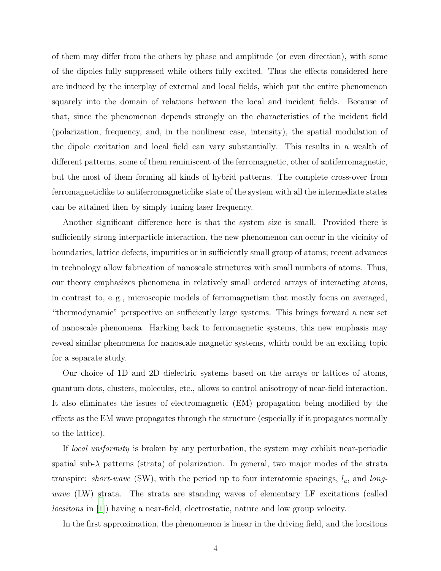of them may differ from the others by phase and amplitude (or even direction), with some of the dipoles fully suppressed while others fully excited. Thus the effects considered here are induced by the interplay of external and local fields, which put the entire phenomenon squarely into the domain of relations between the local and incident fields. Because of that, since the phenomenon depends strongly on the characteristics of the incident field (polarization, frequency, and, in the nonlinear case, intensity), the spatial modulation of the dipole excitation and local field can vary substantially. This results in a wealth of different patterns, some of them reminiscent of the ferromagnetic, other of antiferromagnetic, but the most of them forming all kinds of hybrid patterns. The complete cross-over from ferromagneticlike to antiferromagneticlike state of the system with all the intermediate states can be attained then by simply tuning laser frequency.

Another significant difference here is that the system size is small. Provided there is sufficiently strong interparticle interaction, the new phenomenon can occur in the vicinity of boundaries, lattice defects, impurities or in sufficiently small group of atoms; recent advances in technology allow fabrication of nanoscale structures with small numbers of atoms. Thus, our theory emphasizes phenomena in relatively small ordered arrays of interacting atoms, in contrast to, e. g., microscopic models of ferromagnetism that mostly focus on averaged, "thermodynamic" perspective on sufficiently large systems. This brings forward a new set of nanoscale phenomena. Harking back to ferromagnetic systems, this new emphasis may reveal similar phenomena for nanoscale magnetic systems, which could be an exciting topic for a separate study.

Our choice of 1D and 2D dielectric systems based on the arrays or lattices of atoms, quantum dots, clusters, molecules, etc., allows to control anisotropy of near-field interaction. It also eliminates the issues of electromagnetic (EM) propagation being modified by the effects as the EM wave propagates through the structure (especially if it propagates normally to the lattice).

If local uniformity is broken by any perturbation, the system may exhibit near-periodic spatial sub- $\lambda$  patterns (strata) of polarization. In general, two major modes of the strata transpire: short-wave (SW), with the period up to four interatomic spacings,  $l_a$ , and longwave (LW) strata. The strata are standing waves of elementary LF excitations (called locsitons in [\[1](#page-37-0)]) having a near-field, electrostatic, nature and low group velocity.

In the first approximation, the phenomenon is linear in the driving field, and the locsitons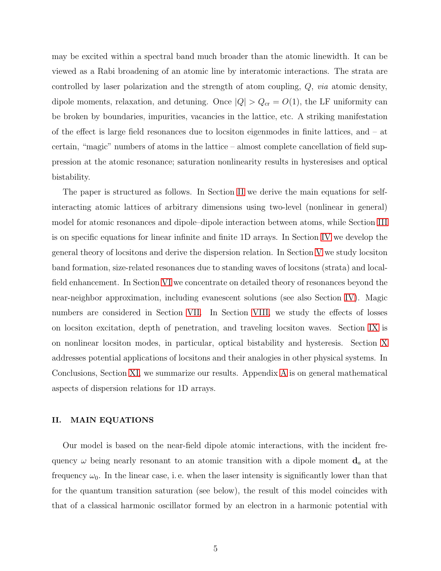may be excited within a spectral band much broader than the atomic linewidth. It can be viewed as a Rabi broadening of an atomic line by interatomic interactions. The strata are controlled by laser polarization and the strength of atom coupling, Q, via atomic density, dipole moments, relaxation, and detuning. Once  $|Q| > Q_{cr} = O(1)$ , the LF uniformity can be broken by boundaries, impurities, vacancies in the lattice, etc. A striking manifestation of the effect is large field resonances due to locsiton eigenmodes in finite lattices, and – at certain, "magic" numbers of atoms in the lattice – almost complete cancellation of field suppression at the atomic resonance; saturation nonlinearity results in hysteresises and optical bistability.

The paper is structured as follows. In Section [II](#page-4-0) we derive the main equations for selfinteracting atomic lattices of arbitrary dimensions using two-level (nonlinear in general) model for atomic resonances and dipole–dipole interaction between atoms, while Section [III](#page-8-0) is on specific equations for linear infinite and finite 1D arrays. In Section [IV](#page-10-0) we develop the general theory of locsitons and derive the dispersion relation. In Section [V](#page-17-0) we study locsiton band formation, size-related resonances due to standing waves of locsitons (strata) and localfield enhancement. In Section [VI](#page-18-0) we concentrate on detailed theory of resonances beyond the near-neighbor approximation, including evanescent solutions (see also Section [IV\)](#page-10-0). Magic numbers are considered in Section [VII.](#page-23-0) In Section [VIII,](#page-24-0) we study the effects of losses on locsiton excitation, depth of penetration, and traveling locsiton waves. Section [IX](#page-27-0) is on nonlinear locsiton modes, in particular, optical bistability and hysteresis. Section [X](#page-30-0) addresses potential applications of locsitons and their analogies in other physical systems. In Conclusions, Section [XI,](#page-33-0) we summarize our results. Appendix [A](#page-34-0) is on general mathematical aspects of dispersion relations for 1D arrays.

### <span id="page-4-0"></span>II. MAIN EQUATIONS

Our model is based on the near-field dipole atomic interactions, with the incident frequency  $\omega$  being nearly resonant to an atomic transition with a dipole moment  $\mathbf{d}_a$  at the frequency  $\omega_0$ . In the linear case, i.e. when the laser intensity is significantly lower than that for the quantum transition saturation (see below), the result of this model coincides with that of a classical harmonic oscillator formed by an electron in a harmonic potential with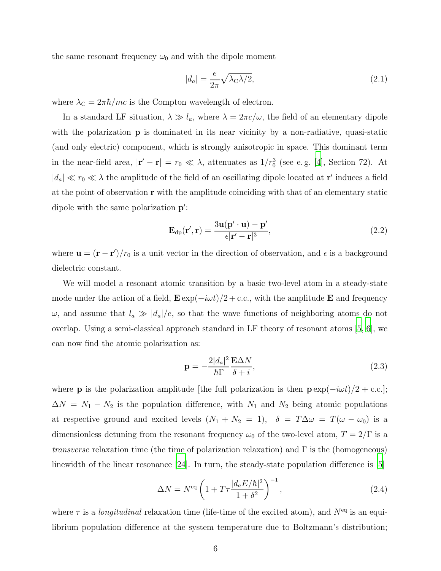the same resonant frequency  $\omega_0$  and with the dipole moment

<span id="page-5-2"></span>
$$
|d_a| = \frac{e}{2\pi} \sqrt{\lambda_c \lambda/2},\tag{2.1}
$$

where  $\lambda_C = 2\pi\hbar/mc$  is the Compton wavelength of electron.

In a standard LF situation,  $\lambda \gg l_a$ , where  $\lambda = 2\pi c/\omega$ , the field of an elementary dipole with the polarization **p** is dominated in its near vicinity by a non-radiative, quasi-static (and only electric) component, which is strongly anisotropic in space. This dominant term in the near-field area,  $|\mathbf{r}' - \mathbf{r}| = r_0 \ll \lambda$ , attenuates as  $1/r_0^3$  (see e.g. [\[4\]](#page-37-3), Section 72). At  $|d_a| \ll r_0 \ll \lambda$  the amplitude of the field of an oscillating dipole located at **r'** induces a field at the point of observation r with the amplitude coinciding with that of an elementary static dipole with the same polarization  $p'$ :

<span id="page-5-1"></span>
$$
\mathbf{E}_{dp}(\mathbf{r}', \mathbf{r}) = \frac{3\mathbf{u}(\mathbf{p}' \cdot \mathbf{u}) - \mathbf{p}'}{\epsilon |\mathbf{r}' - \mathbf{r}|^3},\tag{2.2}
$$

where  $\mathbf{u} = (\mathbf{r} - \mathbf{r'})/r_0$  is a unit vector in the direction of observation, and  $\epsilon$  is a background dielectric constant.

We will model a resonant atomic transition by a basic two-level atom in a steady-state mode under the action of a field,  $\mathbf{E} \exp(-i\omega t)/2 + \text{c.c.}$ , with the amplitude **E** and frequency  $\omega$ , and assume that  $l_a \gg |d_a|/e$ , so that the wave functions of neighboring atoms do not overlap. Using a semi-classical approach standard in LF theory of resonant atoms [\[5,](#page-37-4) [6\]](#page-37-5), we can now find the atomic polarization as:

<span id="page-5-0"></span>
$$
\mathbf{p} = -\frac{2|d_a|^2}{\hbar \Gamma} \frac{\mathbf{E} \Delta N}{\delta + i},\tag{2.3}
$$

where **p** is the polarization amplitude [the full polarization is then  $\mathbf{p} \exp(-i\omega t)/2 + \text{c.c.}$ ];  $\Delta N = N_1 - N_2$  is the population difference, with  $N_1$  and  $N_2$  being atomic populations at respective ground and excited levels  $(N_1 + N_2 = 1)$ ,  $\delta = T \Delta \omega = T(\omega - \omega_0)$  is a dimensionless detuning from the resonant frequency  $\omega_0$  of the two-level atom,  $T = 2/\Gamma$  is a transverse relaxation time (the time of polarization relaxation) and Γ is the (homogeneous) linewidth of the linear resonance [\[24\]](#page-38-0). In turn, the steady-state population difference is [\[5](#page-37-4)]

<span id="page-5-3"></span>
$$
\Delta N = N^{\text{eq}} \left( 1 + T \tau \frac{|d_a E/\hbar|^2}{1 + \delta^2} \right)^{-1},\tag{2.4}
$$

where  $\tau$  is a *longitudinal* relaxation time (life-time of the excited atom), and  $N^{eq}$  is an equilibrium population difference at the system temperature due to Boltzmann's distribution;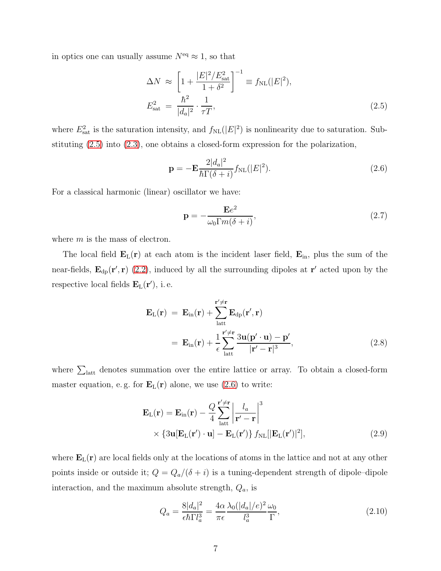in optics one can usually assume  $N<sup>eq</sup> \approx 1$ , so that

<span id="page-6-0"></span>
$$
\Delta N \approx \left[1 + \frac{|E|^2 / E_{\text{sat}}^2}{1 + \delta^2}\right]^{-1} \equiv f_{\text{NL}}(|E|^2),
$$
  

$$
E_{\text{sat}}^2 = \frac{\hbar^2}{|d_a|^2} \cdot \frac{1}{\tau T},
$$
 (2.5)

where  $E_{\text{sat}}^2$  is the saturation intensity, and  $f_{\text{NL}}(|E|^2)$  is nonlinearity due to saturation. Substituting [\(2.5\)](#page-6-0) into [\(2.3\)](#page-5-0), one obtains a closed-form expression for the polarization,

<span id="page-6-1"></span>
$$
\mathbf{p} = -\mathbf{E} \frac{2|d_a|^2}{\hbar \Gamma(\delta + i)} f_{\rm NL}(|E|^2). \tag{2.6}
$$

For a classical harmonic (linear) oscillator we have:

$$
\mathbf{p} = -\frac{\mathbf{E}e^2}{\omega_0 \Gamma m(\delta + i)},\tag{2.7}
$$

where  $m$  is the mass of electron.

The local field  $\mathbf{E}_{\text{L}}(\mathbf{r})$  at each atom is the incident laser field,  $\mathbf{E}_{\text{in}}$ , plus the sum of the near-fields,  $\mathbf{E}_{dp}(\mathbf{r}', \mathbf{r})$  [\(2.2\)](#page-5-1), induced by all the surrounding dipoles at  $\mathbf{r}'$  acted upon by the respective local fields  $\mathbf{E}_{\text{L}}(\mathbf{r}^{\prime}),$  i.e.

<span id="page-6-2"></span>
$$
\mathbf{E}_{\mathrm{L}}(\mathbf{r}) = \mathbf{E}_{\mathrm{in}}(\mathbf{r}) + \sum_{\mathrm{latt}}^{\mathbf{r}' \neq \mathbf{r}} \mathbf{E}_{\mathrm{dp}}(\mathbf{r}', \mathbf{r})
$$
  
= 
$$
\mathbf{E}_{\mathrm{in}}(\mathbf{r}) + \frac{1}{\epsilon} \sum_{\mathrm{latt}}^{\mathbf{r}' \neq \mathbf{r}} \frac{3\mathbf{u}(\mathbf{p}' \cdot \mathbf{u}) - \mathbf{p}'}{|\mathbf{r}' - \mathbf{r}|^3},
$$
(2.8)

where  $\sum_{\text{latt}}$  denotes summation over the entire lattice or array. To obtain a closed-form master equation, e.g. for  $\mathbf{E}_{\rm L}(\mathbf{r})$  alone, we use [\(2.6\)](#page-6-1) to write:

<span id="page-6-3"></span>
$$
\mathbf{E}_{\mathrm{L}}(\mathbf{r}) = \mathbf{E}_{\mathrm{in}}(\mathbf{r}) - \frac{Q}{4} \sum_{\mathrm{latt}}^{\mathbf{r}' \neq \mathbf{r}} \left| \frac{l_a}{\mathbf{r}' - \mathbf{r}} \right|^3
$$
  
 
$$
\times \left\{ 3\mathbf{u} [\mathbf{E}_{\mathrm{L}}(\mathbf{r}') \cdot \mathbf{u}] - \mathbf{E}_{\mathrm{L}}(\mathbf{r}') \right\} f_{\mathrm{NL}}[|\mathbf{E}_{\mathrm{L}}(\mathbf{r}')|^2], \tag{2.9}
$$

where  $\mathbf{E}_{\text{L}}(\mathbf{r})$  are local fields only at the locations of atoms in the lattice and not at any other points inside or outside it;  $Q = Q_a/(\delta + i)$  is a tuning-dependent strength of dipole–dipole interaction, and the maximum absolute strength,  $Q_a$ , is

<span id="page-6-4"></span>
$$
Q_a = \frac{8|d_a|^2}{\epsilon \hbar \Gamma l_a^3} = \frac{4\alpha}{\pi \epsilon} \frac{\lambda_0 (|d_a|/e)^2}{l_a^3} \frac{\omega_0}{\Gamma},\tag{2.10}
$$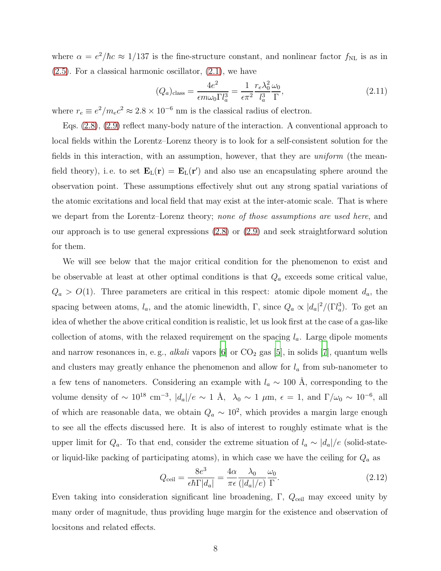where  $\alpha = e^2/\hbar c \approx 1/137$  is the fine-structure constant, and nonlinear factor  $f_{\rm NL}$  is as in  $(2.5)$ . For a classical harmonic oscillator,  $(2.1)$ , we have

$$
(Q_a)_{\text{class}} = \frac{4e^2}{\epsilon m \omega_0 \Gamma l_a^3} = \frac{1}{\epsilon \pi^2} \frac{r_e \lambda_0^2}{l_a^3} \frac{\omega_0}{\Gamma},\tag{2.11}
$$

where  $r_e \equiv e^2/m_e c^2 \approx 2.8 \times 10^{-6}$  nm is the classical radius of electron.

Eqs. [\(2.8\)](#page-6-2), [\(2.9\)](#page-6-3) reflect many-body nature of the interaction. A conventional approach to local fields within the Lorentz–Lorenz theory is to look for a self-consistent solution for the fields in this interaction, with an assumption, however, that they are *uniform* (the meanfield theory), i.e. to set  $\mathbf{E}_{\rm L}(\mathbf{r}) = \mathbf{E}_{\rm L}(\mathbf{r}')$  and also use an encapsulating sphere around the observation point. These assumptions effectively shut out any strong spatial variations of the atomic excitations and local field that may exist at the inter-atomic scale. That is where we depart from the Lorentz–Lorenz theory; none of those assumptions are used here, and our approach is to use general expressions [\(2.8\)](#page-6-2) or [\(2.9\)](#page-6-3) and seek straightforward solution for them.

We will see below that the major critical condition for the phenomenon to exist and be observable at least at other optimal conditions is that  $Q_a$  exceeds some critical value,  $Q_a > O(1)$ . Three parameters are critical in this respect: atomic dipole moment  $d_a$ , the spacing between atoms,  $l_a$ , and the atomic linewidth, Γ, since  $Q_a \propto |d_a|^2/(\Gamma l_a^3)$ . To get an idea of whether the above critical condition is realistic, let us look first at the case of a gas-like collection of atoms, with the relaxed requirement on the spacing  $l_a$ . Large dipole moments and narrow resonances in, e.g., *alkali* vapors [\[6\]](#page-37-5) or  $CO_2$  gas [\[5](#page-37-4)], in solids [\[7](#page-37-6)], quantum wells and clusters may greatly enhance the phenomenon and allow for  $l_a$  from sub-nanometer to a few tens of nanometers. Considering an example with  $l_a \sim 100 \text{ Å}$ , corresponding to the volume density of  $\sim 10^{18}$  cm<sup>-3</sup>,  $|d_a|/e \sim 1$  Å,  $\lambda_0 \sim 1$   $\mu$ m,  $\epsilon = 1$ , and  $\Gamma/\omega_0 \sim 10^{-6}$ , all of which are reasonable data, we obtain  $Q_a \sim 10^2$ , which provides a margin large enough to see all the effects discussed here. It is also of interest to roughly estimate what is the upper limit for  $Q_a$ . To that end, consider the extreme situation of  $l_a \sim |d_a|/e$  (solid-stateor liquid-like packing of participating atoms), in which case we have the ceiling for  $Q_a$  as

$$
Q_{\text{ceil}} = \frac{8e^3}{\epsilon \hbar \Gamma |d_a|} = \frac{4\alpha}{\pi \epsilon} \frac{\lambda_0}{(|d_a|/e)} \frac{\omega_0}{\Gamma}.
$$
 (2.12)

Even taking into consideration significant line broadening,  $\Gamma$ ,  $Q_{\text{ceil}}$  may exceed unity by many order of magnitude, thus providing huge margin for the existence and observation of locsitons and related effects.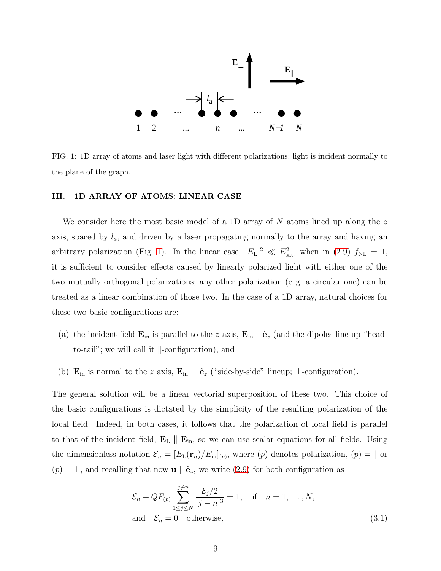

<span id="page-8-1"></span>FIG. 1: 1D array of atoms and laser light with different polarizations; light is incident normally to the plane of the graph.

#### <span id="page-8-0"></span>III. 1D ARRAY OF ATOMS: LINEAR CASE

We consider here the most basic model of a 1D array of  $N$  atoms lined up along the  $z$ axis, spaced by  $l_a$ , and driven by a laser propagating normally to the array and having an arbitrary polarization (Fig. [1\)](#page-8-1). In the linear case,  $|E_{\rm L}|^2 \ll E_{\rm sat}^2$ , when in [\(2.9\)](#page-6-3)  $f_{\rm NL} = 1$ , it is sufficient to consider effects caused by linearly polarized light with either one of the two mutually orthogonal polarizations; any other polarization (e. g. a circular one) can be treated as a linear combination of those two. In the case of a 1D array, natural choices for these two basic configurations are:

- (a) the incident field  $\mathbf{E}_{\text{in}}$  is parallel to the z axis,  $\mathbf{E}_{\text{in}} \parallel \hat{\mathbf{e}}_z$  (and the dipoles line up "headto-tail"; we will call it  $\parallel$ -configuration), and
- (b)  $\mathbf{E}_{\text{in}}$  is normal to the z axis,  $\mathbf{E}_{\text{in}} \perp \hat{\mathbf{e}}_z$  ("side-by-side" lineup;  $\perp$ -configuration).

The general solution will be a linear vectorial superposition of these two. This choice of the basic configurations is dictated by the simplicity of the resulting polarization of the local field. Indeed, in both cases, it follows that the polarization of local field is parallel to that of the incident field,  $\mathbf{E}_{\text{L}} \parallel \mathbf{E}_{\text{in}}$ , so we can use scalar equations for all fields. Using the dimensionless notation  $\mathcal{E}_n = [E_L(\mathbf{r}_n)/E_{\text{in}}]_{(p)}$ , where  $(p)$  denotes polarization,  $(p) = ||$  or  $(p) = \perp$ , and recalling that now **u**  $\parallel \hat{\mathbf{e}}_z$ , we write [\(2.9\)](#page-6-3) for both configuration as

<span id="page-8-2"></span>
$$
\mathcal{E}_n + QF_{(p)} \sum_{1 \le j \le N}^{j \ne n} \frac{\mathcal{E}_j/2}{|j - n|^3} = 1, \quad \text{if} \quad n = 1, \dots, N,
$$
  
and 
$$
\mathcal{E}_n = 0 \quad \text{otherwise}, \tag{3.1}
$$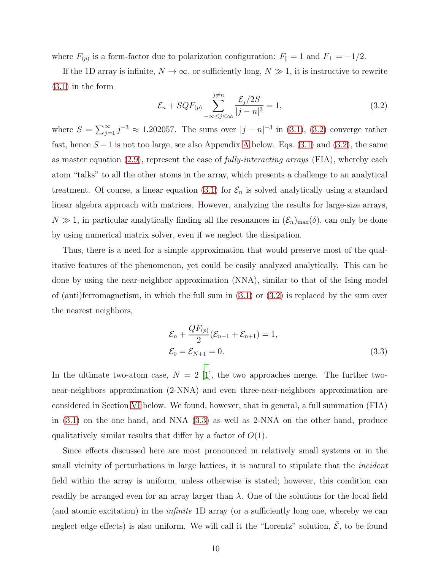where  $F_{(p)}$  is a form-factor due to polarization configuration:  $F_{\parallel} = 1$  and  $F_{\perp} = -1/2$ .

If the 1D array is infinite,  $N \to \infty$ , or sufficiently long,  $N \gg 1$ , it is instructive to rewrite [\(3.1\)](#page-8-2) in the form

<span id="page-9-0"></span>
$$
\mathcal{E}_n + SQF_{(p)} \sum_{-\infty \le j \le \infty}^{j \ne n} \frac{\mathcal{E}_j/2S}{|j - n|^3} = 1,\tag{3.2}
$$

where  $S = \sum_{j=1}^{\infty} j^{-3} \approx 1.202057$ . The sums over  $|j - n|^{-3}$  in [\(3.1\)](#page-8-2), [\(3.2\)](#page-9-0) converge rather fast, hence  $S-1$  is not too large, see also [A](#page-34-0)ppendix A below. Eqs. [\(3.1\)](#page-8-2) and [\(3.2\)](#page-9-0), the same as master equation  $(2.9)$ , represent the case of *fully-interacting arrays* (FIA), whereby each atom "talks" to all the other atoms in the array, which presents a challenge to an analytical treatment. Of course, a linear equation [\(3.1\)](#page-8-2) for  $\mathcal{E}_n$  is solved analytically using a standard linear algebra approach with matrices. However, analyzing the results for large-size arrays,  $N \gg 1$ , in particular analytically finding all the resonances in  $(\mathcal{E}_n)_{\text{max}}(\delta)$ , can only be done by using numerical matrix solver, even if we neglect the dissipation.

Thus, there is a need for a simple approximation that would preserve most of the qualitative features of the phenomenon, yet could be easily analyzed analytically. This can be done by using the near-neighbor approximation (NNA), similar to that of the Ising model of (anti)ferromagnetism, in which the full sum in [\(3.1\)](#page-8-2) or [\(3.2\)](#page-9-0) is replaced by the sum over the nearest neighbors,

<span id="page-9-1"></span>
$$
\mathcal{E}_n + \frac{QF_{(p)}}{2} (\mathcal{E}_{n-1} + \mathcal{E}_{n+1}) = 1,
$$
  
\n
$$
\mathcal{E}_0 = \mathcal{E}_{N+1} = 0.
$$
\n(3.3)

In the ultimate two-atom case,  $N = 2$  [\[1](#page-37-0)], the two approaches merge. The further twonear-neighbors approximation (2-NNA) and even three-near-neighbors approximation are considered in Section [VI](#page-18-0) below. We found, however, that in general, a full summation (FIA) in [\(3.1\)](#page-8-2) on the one hand, and NNA [\(3.3\)](#page-9-1) as well as 2-NNA on the other hand, produce qualitatively similar results that differ by a factor of  $O(1)$ .

Since effects discussed here are most pronounced in relatively small systems or in the small vicinity of perturbations in large lattices, it is natural to stipulate that the *incident* field within the array is uniform, unless otherwise is stated; however, this condition can readily be arranged even for an array larger than  $\lambda$ . One of the solutions for the local field (and atomic excitation) in the infinite 1D array (or a sufficiently long one, whereby we can neglect edge effects) is also uniform. We will call it the "Lorentz" solution,  $\bar{\mathcal{E}}$ , to be found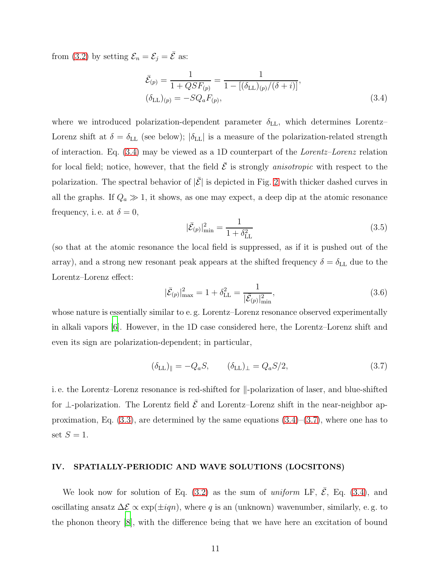from [\(3.2\)](#page-9-0) by setting  $\mathcal{E}_n = \mathcal{E}_j = \overline{\mathcal{E}}$  as:

<span id="page-10-1"></span>
$$
\bar{\mathcal{E}}_{(p)} = \frac{1}{1 + QSF_{(p)}} = \frac{1}{1 - [(\delta_{\text{LL}})_{(p)}/(\delta + i)]},
$$
  
\n
$$
(\delta_{\text{LL}})_{(p)} = -SQ_aF_{(p)},
$$
\n(3.4)

where we introduced polarization-dependent parameter  $\delta_{LL}$ , which determines Lorentz– Lorenz shift at  $\delta = \delta_{\text{LL}}$  (see below);  $|\delta_{\text{LL}}|$  is a measure of the polarization-related strength of interaction. Eq. [\(3.4\)](#page-10-1) may be viewed as a 1D counterpart of the Lorentz–Lorenz relation for local field; notice, however, that the field  $\bar{\mathcal{E}}$  is strongly *anisotropic* with respect to the polarization. The spectral behavior of  $|\bar{\mathcal{E}}|$  is depicted in Fig. [2](#page-11-0) with thicker dashed curves in all the graphs. If  $Q_a \gg 1$ , it shows, as one may expect, a deep dip at the atomic resonance frequency, i.e. at  $\delta = 0$ ,

<span id="page-10-3"></span>
$$
|\bar{\mathcal{E}}_{(p)}|_{\min}^2 = \frac{1}{1 + \delta_{\text{LL}}^2} \tag{3.5}
$$

(so that at the atomic resonance the local field is suppressed, as if it is pushed out of the array), and a strong new resonant peak appears at the shifted frequency  $\delta = \delta_{LL}$  due to the Lorentz–Lorenz effect:

$$
|\bar{\mathcal{E}}_{(p)}|_{\text{max}}^2 = 1 + \delta_{\text{LL}}^2 = \frac{1}{|\bar{\mathcal{E}}_{(p)}|_{\text{min}}^2},\tag{3.6}
$$

whose nature is essentially similar to e.g. Lorentz–Lorenz resonance observed experimentally in alkali vapors [\[6](#page-37-5)]. However, in the 1D case considered here, the Lorentz–Lorenz shift and even its sign are polarization-dependent; in particular,

<span id="page-10-2"></span>
$$
(\delta_{\text{LL}})_{\parallel} = -Q_a S, \qquad (\delta_{\text{LL}})_{\perp} = Q_a S/2, \tag{3.7}
$$

i. e. the Lorentz–Lorenz resonance is red-shifted for  $\parallel$ -polarization of laser, and blue-shifted for ⊥-polarization. The Lorentz field  $\bar{\mathcal{E}}$  and Lorentz–Lorenz shift in the near-neighbor approximation, Eq.  $(3.3)$ , are determined by the same equations  $(3.4)$ – $(3.7)$ , where one has to set  $S=1$ .

### <span id="page-10-0"></span>IV. SPATIALLY-PERIODIC AND WAVE SOLUTIONS (LOCSITONS)

We look now for solution of Eq. [\(3.2\)](#page-9-0) as the sum of uniform LF,  $\bar{\mathcal{E}}$ , Eq. [\(3.4\)](#page-10-1), and oscillating ansatz  $\Delta \mathcal{E} \propto \exp(\pm i qn)$ , where q is an (unknown) wavenumber, similarly, e.g. to the phonon theory [\[8\]](#page-37-7), with the difference being that we have here an excitation of bound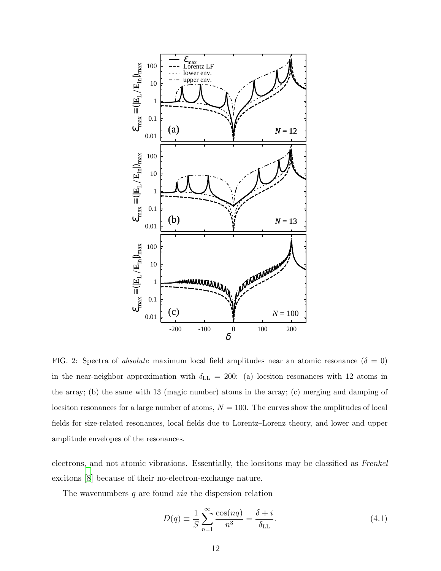

<span id="page-11-0"></span>FIG. 2: Spectra of *absolute* maximum local field amplitudes near an atomic resonance  $(\delta = 0)$ in the near-neighbor approximation with  $\delta_{\rm LL}$  = 200: (a) locsiton resonances with 12 atoms in the array; (b) the same with 13 (magic number) atoms in the array; (c) merging and damping of locsiton resonances for a large number of atoms,  $N = 100$ . The curves show the amplitudes of local fields for size-related resonances, local fields due to Lorentz–Lorenz theory, and lower and upper amplitude envelopes of the resonances.

electrons, and not atomic vibrations. Essentially, the locsitons may be classified as Frenkel excitons [\[8](#page-37-7)] because of their no-electron-exchange nature.

The wavenumbers  $q$  are found *via* the dispersion relation

<span id="page-11-1"></span>
$$
D(q) \equiv \frac{1}{S} \sum_{n=1}^{\infty} \frac{\cos(nq)}{n^3} = \frac{\delta + i}{\delta_{\text{LL}}}.
$$
\n(4.1)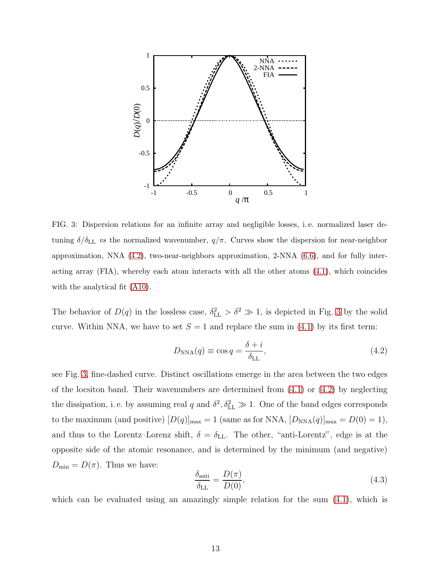

<span id="page-12-1"></span>FIG. 3: Dispersion relations for an infinite array and negligible losses, i. e. normalized laser detuning  $\delta/\delta_{\rm LL}$  vs the normalized wavenumber,  $q/\pi$ . Curves show the dispersion for near-neighbor approximation, NNA [\(4.2\)](#page-12-0), two-near-neighbors approximation, 2-NNA [\(6.6\)](#page-20-0), and for fully interacting array (FIA), whereby each atom interacts with all the other atoms [\(4.1\)](#page-11-1), which coincides with the analytical fit [\(A10\)](#page-35-0).

The behavior of  $D(q)$  in the lossless case,  $\delta_{\text{LL}}^2 > \delta^2 \gg 1$ , is depicted in Fig. [3](#page-12-1) by the solid curve. Within NNA, we have to set  $S = 1$  and replace the sum in [\(4.1\)](#page-11-1) by its first term:

<span id="page-12-0"></span>
$$
D_{\rm NNA}(q) \equiv \cos q = \frac{\delta + i}{\delta_{\rm LL}},\tag{4.2}
$$

see Fig. [3,](#page-12-1) fine-dashed curve. Distinct oscillations emerge in the area between the two edges of the locsiton band. Their wavenumbers are determined from  $(4.1)$  or  $(4.2)$  by neglecting the dissipation, i.e. by assuming real q and  $\delta^2$ ,  $\delta_{\text{LL}}^2 \gg 1$ . One of the band edges corresponds to the maximum (and positive)  $[D(q)]_{\text{max}} = 1$  (same as for NNA,  $[D_{\text{NNA}}(q)]_{\text{max}} = D(0) = 1$ ), and thus to the Lorentz–Lorenz shift,  $\delta = \delta_{LL}$ . The other, "anti-Lorentz", edge is at the opposite side of the atomic resonance, and is determined by the minimum (and negative)  $D_{\min} = D(\pi)$ . Thus we have:

$$
\frac{\delta_{\text{anti}}}{\delta_{\text{LL}}} = \frac{D(\pi)}{D(0)},\tag{4.3}
$$

which can be evaluated using an amazingly simple relation for the sum  $(4.1)$ , which is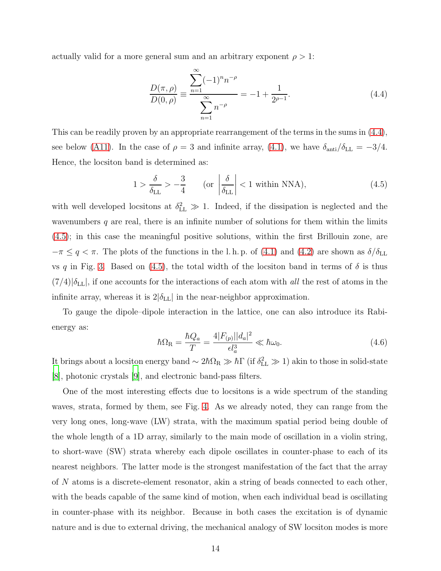actually valid for a more general sum and an arbitrary exponent  $\rho > 1$ :

<span id="page-13-0"></span>
$$
\frac{D(\pi,\rho)}{D(0,\rho)} \equiv \frac{\sum_{n=1}^{\infty} (-1)^n n^{-\rho}}{\sum_{n=1}^{\infty} n^{-\rho}} = -1 + \frac{1}{2^{\rho-1}}.
$$
\n(4.4)

This can be readily proven by an appropriate rearrangement of the terms in the sums in [\(4.4\)](#page-13-0), see below [\(A11\)](#page-36-0). In the case of  $\rho = 3$  and infinite array, [\(4.1\)](#page-11-1), we have  $\delta_{\text{anti}}/\delta_{\text{LL}} = -3/4$ . Hence, the locsiton band is determined as:

<span id="page-13-1"></span>
$$
1 > \frac{\delta}{\delta_{\text{LL}}} > -\frac{3}{4} \qquad \text{(or } \left| \frac{\delta}{\delta_{\text{LL}}} \right| < 1 \text{ within NNA}\text{)},\tag{4.5}
$$

with well developed locsitons at  $\delta_{\text{LL}}^2 \gg 1$ . Indeed, if the dissipation is neglected and the wavenumbers  $q$  are real, there is an infinite number of solutions for them within the limits [\(4.5\)](#page-13-1); in this case the meaningful positive solutions, within the first Brillouin zone, are  $-\pi \le q < \pi$ . The plots of the functions in the l. h. p. of [\(4.1\)](#page-11-1) and [\(4.2\)](#page-12-0) are shown as  $\delta/\delta_{\rm LL}$ vs q in Fig. [3.](#page-12-1) Based on [\(4.5\)](#page-13-1), the total width of the locsiton band in terms of  $\delta$  is thus  $(7/4)|\delta_{\text{LL}}|$ , if one accounts for the interactions of each atom with all the rest of atoms in the infinite array, whereas it is  $2|\delta_{LL}|$  in the near-neighbor approximation.

To gauge the dipole–dipole interaction in the lattice, one can also introduce its Rabienergy as:

<span id="page-13-2"></span>
$$
\hbar\Omega_{\rm R} = \frac{\hbar Q_a}{T} = \frac{4|F_{(p)}||d_a|^2}{\epsilon l_a^3} \ll \hbar\omega_0.
$$
\n(4.6)

It brings about a locsiton energy band  $\sim 2\hbar\Omega_R \gg \hbar\Gamma$  (if  $\delta_{\rm LL}^2 \gg 1$ ) akin to those in solid-state [\[8](#page-37-7)], photonic crystals [\[9\]](#page-37-8), and electronic band-pass filters.

One of the most interesting effects due to locsitons is a wide spectrum of the standing waves, strata, formed by them, see Fig. [4.](#page-14-0) As we already noted, they can range from the very long ones, long-wave (LW) strata, with the maximum spatial period being double of the whole length of a 1D array, similarly to the main mode of oscillation in a violin string, to short-wave (SW) strata whereby each dipole oscillates in counter-phase to each of its nearest neighbors. The latter mode is the strongest manifestation of the fact that the array of N atoms is a discrete-element resonator, akin a string of beads connected to each other, with the beads capable of the same kind of motion, when each individual bead is oscillating in counter-phase with its neighbor. Because in both cases the excitation is of dynamic nature and is due to external driving, the mechanical analogy of SW locsiton modes is more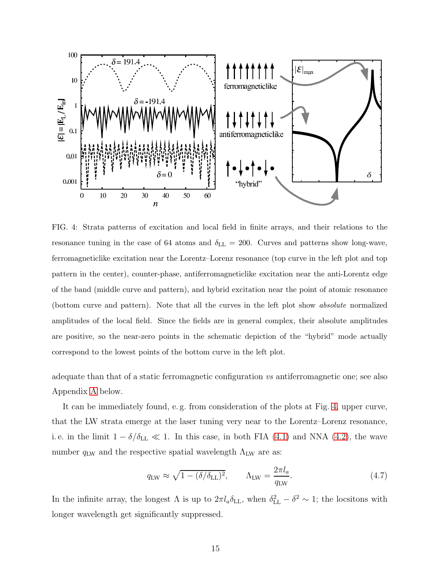

<span id="page-14-0"></span>FIG. 4: Strata patterns of excitation and local field in finite arrays, and their relations to the resonance tuning in the case of 64 atoms and  $\delta_{\rm LL} = 200$ . Curves and patterns show long-wave, ferromagneticlike excitation near the Lorentz–Lorenz resonance (top curve in the left plot and top pattern in the center), counter-phase, antiferromagneticlike excitation near the anti-Lorentz edge of the band (middle curve and pattern), and hybrid excitation near the point of atomic resonance (bottom curve and pattern). Note that all the curves in the left plot show absolute normalized amplitudes of the local field. Since the fields are in general complex, their absolute amplitudes are positive, so the near-zero points in the schematic depiction of the "hybrid" mode actually correspond to the lowest points of the bottom curve in the left plot.

adequate than that of a static ferromagnetic configuration vs antiferromagnetic one; see also Appendix [A](#page-34-0) below.

It can be immediately found, e. g. from consideration of the plots at Fig. [4,](#page-14-0) upper curve, that the LW strata emerge at the laser tuning very near to the Lorentz–Lorenz resonance, i.e. in the limit  $1 - \delta/\delta_{LL} \ll 1$ . In this case, in both FIA [\(4.1\)](#page-11-1) and NNA [\(4.2\)](#page-12-0), the wave number  $q_{\text{LW}}$  and the respective spatial wavelength  $\Lambda_{\text{LW}}$  are as:

$$
q_{\rm LW} \approx \sqrt{1 - (\delta/\delta_{\rm LL})^2}, \qquad \Lambda_{\rm LW} = \frac{2\pi l_a}{q_{\rm LW}}.\tag{4.7}
$$

In the infinite array, the longest  $\Lambda$  is up to  $2\pi l_a \delta_{LL}$ , when  $\delta_{LL}^2 - \delta^2 \sim 1$ ; the locsitons with longer wavelength get significantly suppressed.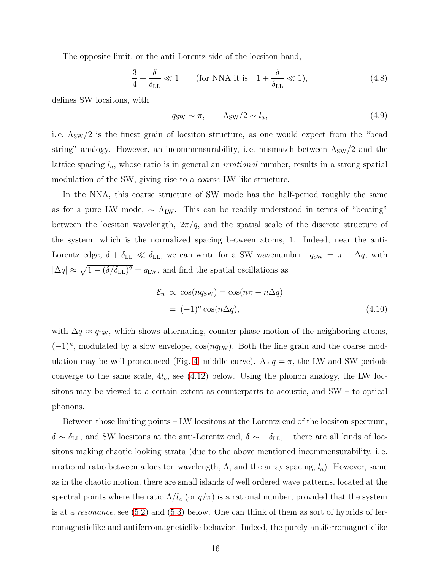The opposite limit, or the anti-Lorentz side of the locsiton band,

$$
\frac{3}{4} + \frac{\delta}{\delta_{\text{LL}}} \ll 1 \qquad \text{(for NNA it is } 1 + \frac{\delta}{\delta_{\text{LL}}} \ll 1), \tag{4.8}
$$

defines SW locsitons, with

$$
q_{\rm SW} \sim \pi, \qquad \Lambda_{\rm SW}/2 \sim l_a,\tag{4.9}
$$

i.e.  $\Lambda_{\rm SW}/2$  is the finest grain of locsiton structure, as one would expect from the "bead string" analogy. However, an incommensurability, i.e. mismatch between  $\Lambda_{SW}/2$  and the lattice spacing  $l_a$ , whose ratio is in general an *irrational* number, results in a strong spatial modulation of the SW, giving rise to a *coarse* LW-like structure.

In the NNA, this coarse structure of SW mode has the half-period roughly the same as for a pure LW mode,  $\sim \Lambda_{\text{LW}}$ . This can be readily understood in terms of "beating" between the locsiton wavelength,  $2\pi/q$ , and the spatial scale of the discrete structure of the system, which is the normalized spacing between atoms, 1. Indeed, near the anti-Lorentz edge,  $\delta + \delta_{LL} \ll \delta_{LL}$ , we can write for a SW wavenumber:  $q_{SW} = \pi - \Delta q$ , with  $|\Delta q| \approx \sqrt{1 - (\delta/\delta_{\rm LL})^2} = q_{\rm LW}$ , and find the spatial oscillations as

$$
\mathcal{E}_n \propto \cos(nq_{SW}) = \cos(n\pi - n\Delta q)
$$
  
=  $(-1)^n \cos(n\Delta q)$ , (4.10)

with  $\Delta q \approx q_{\text{LW}}$ , which shows alternating, counter-phase motion of the neighboring atoms,  $(-1)^n$ , modulated by a slow envelope,  $cos(nq_{LW})$ . Both the fine grain and the coarse mod-ulation may be well pronounced (Fig. [4,](#page-14-0) middle curve). At  $q = \pi$ , the LW and SW periods converge to the same scale,  $4l_a$ , see  $(4.12)$  below. Using the phonon analogy, the LW locsitons may be viewed to a certain extent as counterparts to acoustic, and SW – to optical phonons.

Between those limiting points – LW locsitons at the Lorentz end of the locsiton spectrum,  $\delta \sim \delta_{\rm LL}$ , and SW locsitons at the anti-Lorentz end,  $\delta \sim -\delta_{\rm LL}$ , – there are all kinds of locsitons making chaotic looking strata (due to the above mentioned incommensurability, i. e. irrational ratio between a locsiton wavelength,  $\Lambda$ , and the array spacing,  $l_a$ ). However, same as in the chaotic motion, there are small islands of well ordered wave patterns, located at the spectral points where the ratio  $\Lambda/l_a$  (or  $q/\pi$ ) is a rational number, provided that the system is at a resonance, see [\(5.2\)](#page-17-1) and [\(5.3\)](#page-17-2) below. One can think of them as sort of hybrids of ferromagneticlike and antiferromagneticlike behavior. Indeed, the purely antiferromagneticlike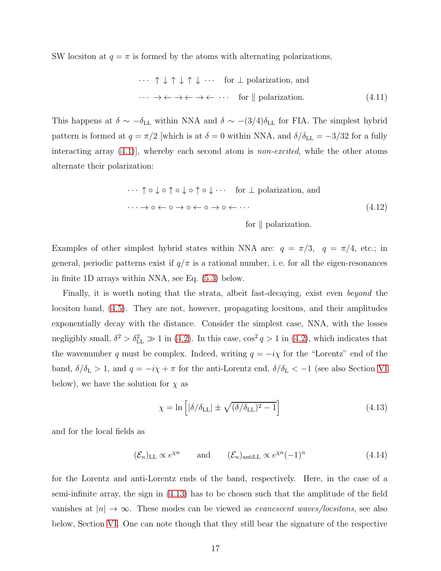SW locsiton at  $q = \pi$  is formed by the atoms with alternating polarizations,

$$
\cdots \uparrow \downarrow \uparrow \downarrow \uparrow \downarrow \cdots \text{ for } \perp \text{ polarization, and}
$$
\n
$$
\cdots \rightarrow \leftarrow \rightarrow \leftarrow \rightarrow \leftarrow \cdots \text{ for } \parallel \text{ polarization.}
$$
\n(4.11)

This happens at  $\delta \sim -\delta_{\text{LL}}$  within NNA and  $\delta \sim -(3/4)\delta_{\text{LL}}$  for FIA. The simplest hybrid pattern is formed at  $q = \pi/2$  [which is at  $\delta = 0$  within NNA, and  $\delta/\delta_{\rm LL} = -3/32$  for a fully interacting array  $(4.1)$ , whereby each second atom is *non-excited*, while the other atoms alternate their polarization:

<span id="page-16-0"></span>
$$
\cdots \uparrow \circ \downarrow \circ \uparrow \circ \downarrow \circ \uparrow \circ \downarrow \cdots \quad \text{for } \perp \text{ polarization, and}
$$
\n
$$
\cdots \to \circ \leftarrow \circ \to \circ \leftarrow \circ \to \circ \leftarrow \cdots
$$
\n
$$
\text{for } \parallel \text{polarization.}
$$
\n(4.12)

Examples of other simplest hybrid states within NNA are:  $q = \pi/3$ ,  $q = \pi/4$ , etc.; in general, periodic patterns exist if  $q/\pi$  is a rational number, i.e. for all the eigen-resonances in finite 1D arrays within NNA, see Eq. [\(5.3\)](#page-17-2) below.

Finally, it is worth noting that the strata, albeit fast-decaying, exist even *beyond* the locsiton band, [\(4.5\)](#page-13-1). They are not, however, propagating locsitons, and their amplitudes exponentially decay with the distance. Consider the simplest case, NNA, with the losses negligibly small,  $\delta^2 > \delta_{\text{LL}}^2 \gg 1$  in [\(4.2\)](#page-12-0). In this case,  $\cos^2 q > 1$  in (4.2), which indicates that the wavenumber q must be complex. Indeed, writing  $q = -i\chi$  for the "Lorentz" end of the band,  $\delta/\delta_{\rm L} > 1$ , and  $q = -i\chi + \pi$  for the anti-Lorentz end,  $\delta/\delta_{\rm L} < -1$  (see also Section [VI](#page-18-0) below), we have the solution for  $\chi$  as

<span id="page-16-1"></span>
$$
\chi = \ln\left[|\delta/\delta_{\rm LL}| \pm \sqrt{(\delta/\delta_{\rm LL})^2 - 1}\right]
$$
\n(4.13)

and for the local fields as

 $(\mathcal{E}_n)_{\text{LL}} \propto e^{\chi n}$  and  $(\mathcal{E}_n)_{\text{antill}} \propto e^{\chi n} (-1)^n$ (4.14)

for the Lorentz and anti-Lorentz ends of the band, respectively. Here, in the case of a semi-infinite array, the sign in [\(4.13\)](#page-16-1) has to be chosen such that the amplitude of the field vanishes at  $|n| \to \infty$ . These modes can be viewed as *evanescent waves/locsitons*, see also below, Section [VI.](#page-18-0) One can note though that they still bear the signature of the respective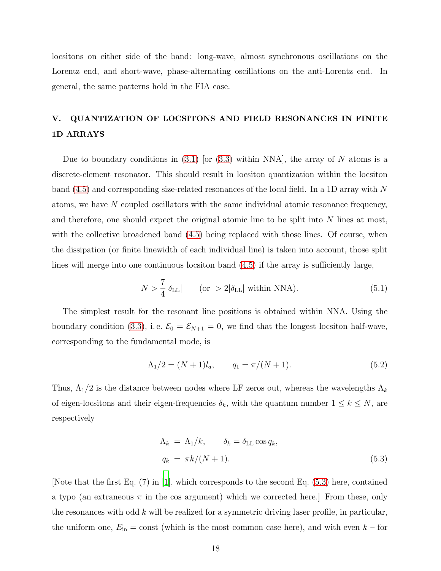locsitons on either side of the band: long-wave, almost synchronous oscillations on the Lorentz end, and short-wave, phase-alternating oscillations on the anti-Lorentz end. In general, the same patterns hold in the FIA case.

# <span id="page-17-0"></span>V. QUANTIZATION OF LOCSITONS AND FIELD RESONANCES IN FINITE 1D ARRAYS

Due to boundary conditions in [\(3.1\)](#page-8-2) [or [\(3.3\)](#page-9-1) within NNA], the array of N atoms is a discrete-element resonator. This should result in locsiton quantization within the locsiton band [\(4.5\)](#page-13-1) and corresponding size-related resonances of the local field. In a 1D array with N atoms, we have N coupled oscillators with the same individual atomic resonance frequency, and therefore, one should expect the original atomic line to be split into  $N$  lines at most, with the collective broadened band  $(4.5)$  being replaced with those lines. Of course, when the dissipation (or finite linewidth of each individual line) is taken into account, those split lines will merge into one continuous locsiton band [\(4.5\)](#page-13-1) if the array is sufficiently large,

$$
N > \frac{7}{4} |\delta_{\rm LL}| \qquad \text{(or } > 2|\delta_{\rm LL}| \text{ within NNA)}.
$$
 (5.1)

The simplest result for the resonant line positions is obtained within NNA. Using the boundary condition [\(3.3\)](#page-9-1), i.e.  $\mathcal{E}_0 = \mathcal{E}_{N+1} = 0$ , we find that the longest locsiton half-wave, corresponding to the fundamental mode, is

<span id="page-17-1"></span>
$$
\Lambda_1/2 = (N+1)l_a, \qquad q_1 = \pi/(N+1). \tag{5.2}
$$

Thus,  $\Lambda_1/2$  is the distance between nodes where LF zeros out, whereas the wavelengths  $\Lambda_k$ of eigen-locsitons and their eigen-frequencies  $\delta_k$ , with the quantum number  $1 \leq k \leq N$ , are respectively

<span id="page-17-2"></span>
$$
\Lambda_k = \Lambda_1/k, \qquad \delta_k = \delta_{\text{LL}} \cos q_k,
$$
  

$$
q_k = \pi k/(N+1).
$$
 (5.3)

[Note that the first Eq. (7) in [\[1\]](#page-37-0), which corresponds to the second Eq. [\(5.3\)](#page-17-2) here, contained a typo (an extraneous  $\pi$  in the cos argument) which we corrected here. From these, only the resonances with odd  $k$  will be realized for a symmetric driving laser profile, in particular, the uniform one,  $E_{\text{in}} = \text{const}$  (which is the most common case here), and with even  $k -$  for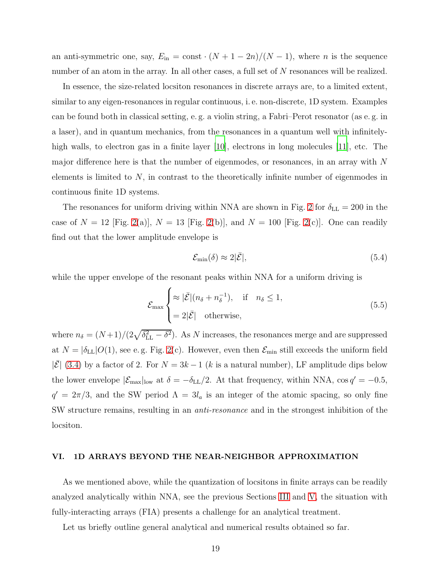an anti-symmetric one, say,  $E_{\text{in}} = \text{const} \cdot (N + 1 - 2n)/(N - 1)$ , where *n* is the sequence number of an atom in the array. In all other cases, a full set of N resonances will be realized.

In essence, the size-related locsiton resonances in discrete arrays are, to a limited extent, similar to any eigen-resonances in regular continuous, i. e. non-discrete, 1D system. Examples can be found both in classical setting, e. g. a violin string, a Fabri–Perot resonator (as e. g. in a laser), and in quantum mechanics, from the resonances in a quantum well with infinitely-high walls, to electron gas in a finite layer [\[10\]](#page-37-9), electrons in long molecules [\[11](#page-37-10)], etc. The major difference here is that the number of eigenmodes, or resonances, in an array with N elements is limited to N, in contrast to the theoretically infinite number of eigenmodes in continuous finite 1D systems.

The resonances for uniform driving within NNA are shown in Fig. [2](#page-11-0) for  $\delta_{LL} = 200$  in the case of  $N = 12$  [Fig. [2\(](#page-11-0)a)],  $N = 13$  [Fig. 2(b)], and  $N = 100$  [Fig. 2(c)]. One can readily find out that the lower amplitude envelope is

$$
\mathcal{E}_{\min}(\delta) \approx 2|\bar{\mathcal{E}}|,\tag{5.4}
$$

while the upper envelope of the resonant peaks within NNA for a uniform driving is

$$
\mathcal{E}_{\max} \begin{cases} \approx |\bar{\mathcal{E}}|(n_{\delta} + n_{\delta}^{-1}), & \text{if } n_{\delta} \le 1, \\ = 2|\bar{\mathcal{E}}| & \text{otherwise,} \end{cases}
$$
(5.5)

where  $n_{\delta} = (N+1)/(2\sqrt{\delta_{\text{LL}}^2 - \delta^2})$ . As N increases, the resonances merge and are suppressed at  $N = |\delta_{LL}| O(1)$ , see e.g. Fig. [2\(](#page-11-0)c). However, even then  $\mathcal{E}_{min}$  still exceeds the uniform field  $|\bar{\mathcal{E}}|$  [\(3.4\)](#page-10-1) by a factor of 2. For  $N = 3k - 1$  (k is a natural number), LF amplitude dips below the lower envelope  $|\mathcal{E}_{\text{max}}|_{\text{low}}$  at  $\delta = -\delta_{\text{LL}}/2$ . At that frequency, within NNA, cos  $q' = -0.5$ ,  $q' = 2\pi/3$ , and the SW period  $\Lambda = 3l_a$  is an integer of the atomic spacing, so only fine SW structure remains, resulting in an anti-resonance and in the strongest inhibition of the locsiton.

#### <span id="page-18-0"></span>VI. 1D ARRAYS BEYOND THE NEAR-NEIGHBOR APPROXIMATION

As we mentioned above, while the quantization of locsitons in finite arrays can be readily analyzed analytically within NNA, see the previous Sections [III](#page-8-0) and [V,](#page-17-0) the situation with fully-interacting arrays (FIA) presents a challenge for an analytical treatment.

Let us briefly outline general analytical and numerical results obtained so far.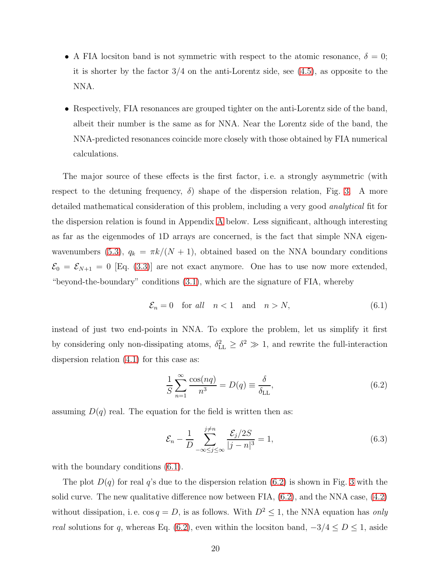- A FIA locsiton band is not symmetric with respect to the atomic resonance,  $\delta = 0$ ; it is shorter by the factor 3/4 on the anti-Lorentz side, see [\(4.5\)](#page-13-1), as opposite to the NNA.
- Respectively, FIA resonances are grouped tighter on the anti-Lorentz side of the band, albeit their number is the same as for NNA. Near the Lorentz side of the band, the NNA-predicted resonances coincide more closely with those obtained by FIA numerical calculations.

The major source of these effects is the first factor, i. e. a strongly asymmetric (with respect to the detuning frequency,  $\delta$ ) shape of the dispersion relation, Fig. [3.](#page-12-1) A more detailed mathematical consideration of this problem, including a very good analytical fit for the dispersion relation is found in Appendix [A](#page-34-0) below. Less significant, although interesting as far as the eigenmodes of 1D arrays are concerned, is the fact that simple NNA eigen-wavenumbers [\(5.3\)](#page-17-2),  $q_k = \frac{\pi k}{N+1}$ , obtained based on the NNA boundary conditions  $\mathcal{E}_0 = \mathcal{E}_{N+1} = 0$  [Eq. [\(3.3\)](#page-9-1)] are not exact anymore. One has to use now more extended, "beyond-the-boundary" conditions [\(3.1\)](#page-8-2), which are the signature of FIA, whereby

<span id="page-19-0"></span>
$$
\mathcal{E}_n = 0 \quad \text{for all} \quad n < 1 \quad \text{and} \quad n > N,\tag{6.1}
$$

instead of just two end-points in NNA. To explore the problem, let us simplify it first by considering only non-dissipating atoms,  $\delta_{\text{LL}}^2 \geq \delta^2 \gg 1$ , and rewrite the full-interaction dispersion relation [\(4.1\)](#page-11-1) for this case as:

<span id="page-19-1"></span>
$$
\frac{1}{S} \sum_{n=1}^{\infty} \frac{\cos(nq)}{n^3} = D(q) \equiv \frac{\delta}{\delta_{\text{LL}}},\tag{6.2}
$$

assuming  $D(q)$  real. The equation for the field is written then as:

<span id="page-19-2"></span>
$$
\mathcal{E}_n - \frac{1}{D} \sum_{-\infty \le j \le \infty}^{j \ne n} \frac{\mathcal{E}_j/2S}{|j - n|^3} = 1,\tag{6.3}
$$

with the boundary conditions  $(6.1)$ .

The plot  $D(q)$  for real q's due to the dispersion relation [\(6.2\)](#page-19-1) is shown in Fig. [3](#page-12-1) with the solid curve. The new qualitative difference now between FIA, [\(6.2\)](#page-19-1), and the NNA case, [\(4.2\)](#page-12-0) without dissipation, i. e.  $\cos q = D$ , is as follows. With  $D^2 \leq 1$ , the NNA equation has only real solutions for q, whereas Eq. [\(6.2\)](#page-19-1), even within the locsiton band,  $-3/4 \le D \le 1$ , aside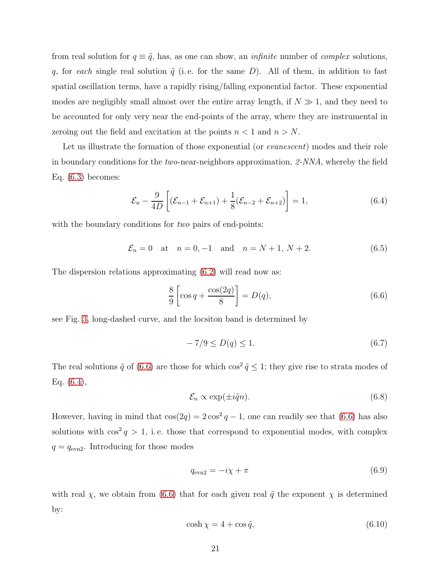from real solution for  $q \equiv \tilde{q}$ , has, as one can show, an *infinite* number of *complex* solutions, q, for each single real solution  $\tilde{q}$  (i.e. for the same D). All of them, in addition to fast spatial oscillation terms, have a rapidly rising/falling exponential factor. These exponential modes are negligibly small almost over the entire array length, if  $N \gg 1$ , and they need to be accounted for only very near the end-points of the array, where they are instrumental in zeroing out the field and excitation at the points  $n < 1$  and  $n > N$ .

Let us illustrate the formation of those exponential (or *evanescent*) modes and their role in boundary conditions for the two-near-neighbors approximation, 2-NNA, whereby the field Eq.  $(6.3)$  becomes:

<span id="page-20-1"></span>
$$
\mathcal{E}_n - \frac{9}{4D} \left[ (\mathcal{E}_{n-1} + \mathcal{E}_{n+1}) + \frac{1}{8} (\mathcal{E}_{n-2} + \mathcal{E}_{n+2}) \right] = 1, \tag{6.4}
$$

with the boundary conditions for *two* pairs of end-points:

<span id="page-20-2"></span>
$$
\mathcal{E}_n = 0
$$
 at  $n = 0, -1$  and  $n = N + 1, N + 2.$  (6.5)

The dispersion relations approximating [\(6.2\)](#page-19-1) will read now as:

<span id="page-20-0"></span>
$$
\frac{8}{9}\left[\cos q + \frac{\cos(2q)}{8}\right] = D(q),\tag{6.6}
$$

see Fig. [3,](#page-12-1) long-dashed curve, and the locsiton band is determined by

$$
-7/9 \le D(q) \le 1. \tag{6.7}
$$

The real solutions  $\tilde{q}$  of [\(6.6\)](#page-20-0) are those for which  $\cos^2 \tilde{q} \leq 1$ ; they give rise to strata modes of Eq. [\(6.4\)](#page-20-1),

$$
\mathcal{E}_n \propto \exp(\pm i\tilde{q}n). \tag{6.8}
$$

However, having in mind that  $cos(2q) = 2 cos^2 q - 1$ , one can readily see that [\(6.6\)](#page-20-0) has also solutions with  $\cos^2 q > 1$ , i.e. those that correspond to exponential modes, with complex  $q = q_{\text{evn2}}$ . Introducing for those modes

<span id="page-20-4"></span>
$$
q_{\rm evn2} = -i\chi + \pi \tag{6.9}
$$

with real  $\chi$ , we obtain from [\(6.6\)](#page-20-0) that for each given real  $\tilde{q}$  the exponent  $\chi$  is determined by:

<span id="page-20-3"></span>
$$
\cosh \chi = 4 + \cos \tilde{q},\tag{6.10}
$$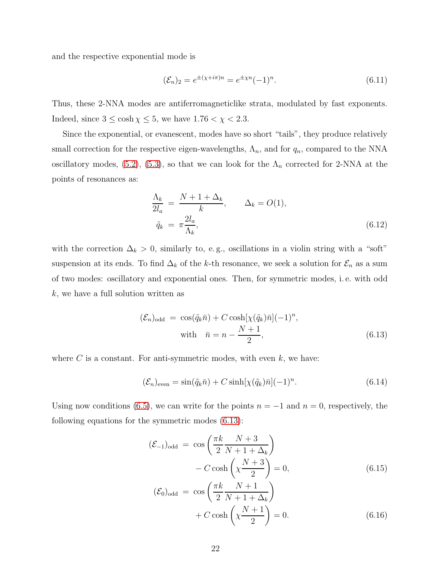and the respective exponential mode is

<span id="page-21-4"></span>
$$
(\mathcal{E}_n)_2 = e^{\pm (\chi + i\pi)n} = e^{\pm \chi n} (-1)^n.
$$
 (6.11)

Thus, these 2-NNA modes are antiferromagneticlike strata, modulated by fast exponents. Indeed, since  $3 \le \cosh \chi \le 5$ , we have  $1.76 < \chi < 2.3$ .

Since the exponential, or evanescent, modes have so short "tails", they produce relatively small correction for the respective eigen-wavelengths,  $\Lambda_n$ , and for  $q_n$ , compared to the NNA oscillatory modes, [\(5.2\)](#page-17-1), [\(5.3\)](#page-17-2), so that we can look for the  $\Lambda_n$  corrected for 2-NNA at the points of resonances as:

<span id="page-21-3"></span>
$$
\frac{\Lambda_k}{2l_a} = \frac{N+1+\Delta_k}{k}, \qquad \Delta_k = O(1),
$$
  

$$
\tilde{q}_k = \pi \frac{2l_a}{\Lambda_k}, \qquad (6.12)
$$

with the correction  $\Delta_k > 0$ , similarly to, e.g., oscillations in a violin string with a "soft" suspension at its ends. To find  $\Delta_k$  of the k-th resonance, we seek a solution for  $\mathcal{E}_n$  as a sum of two modes: oscillatory and exponential ones. Then, for symmetric modes, i. e. with odd  $k$ , we have a full solution written as

<span id="page-21-0"></span>
$$
(\mathcal{E}_n)_{\text{odd}} = \cos(\tilde{q}_k \bar{n}) + C \cosh[\chi(\tilde{q}_k)\bar{n}](-1)^n,
$$
  
with  $\bar{n} = n - \frac{N+1}{2}$ , (6.13)

where  $C$  is a constant. For anti-symmetric modes, with even  $k$ , we have:

<span id="page-21-1"></span>
$$
(\mathcal{E}_n)_{\text{even}} = \sin(\tilde{q}_k \bar{n}) + C \sinh[\chi(\tilde{q}_k)\bar{n}](-1)^n.
$$
\n(6.14)

Using now conditions [\(6.5\)](#page-20-2), we can write for the points  $n = -1$  and  $n = 0$ , respectively, the following equations for the symmetric modes [\(6.13\)](#page-21-0):

<span id="page-21-2"></span>
$$
(\mathcal{E}_{-1})_{odd} = \cos\left(\frac{\pi k}{2} \frac{N+3}{N+1+\Delta_k}\right)
$$

$$
-C \cosh\left(\chi \frac{N+3}{2}\right) = 0,
$$

$$
(\mathcal{E}_{0})_{odd} = \cos\left(\frac{\pi k}{2} \frac{N+1}{N+1+\Delta_k}\right)
$$

$$
+C \cosh\left(\chi \frac{N+1}{2}\right) = 0.
$$

$$
(6.16)
$$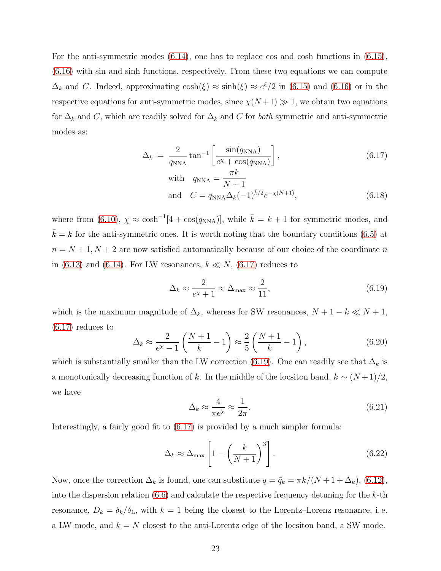For the anti-symmetric modes [\(6.14\)](#page-21-1), one has to replace cos and cosh functions in [\(6.15\)](#page-21-2), [\(6.16\)](#page-21-2) with sin and sinh functions, respectively. From these two equations we can compute  $\Delta_k$  and C. Indeed, approximating  $\cosh(\xi) \approx \sinh(\xi) \approx e^{\xi}/2$  in [\(6.15\)](#page-21-2) and [\(6.16\)](#page-21-2) or in the respective equations for anti-symmetric modes, since  $\chi(N+1) \gg 1$ , we obtain two equations for  $\Delta_k$  and C, which are readily solved for  $\Delta_k$  and C for both symmetric and anti-symmetric modes as:

<span id="page-22-0"></span>
$$
\Delta_k = \frac{2}{q_{\text{NNA}}} \tan^{-1} \left[ \frac{\sin(q_{\text{NNA}})}{e^{\chi} + \cos(q_{\text{NNA}})} \right],\tag{6.17}
$$

with 
$$
q_{\text{NNA}} = \frac{\pi k}{N+1}
$$
  
and  $C = q_{\text{NNA}} \Delta_k (-1)^{\bar{k}/2} e^{-\chi(N+1)}$ , (6.18)

where from [\(6.10\)](#page-20-3),  $\chi \approx \cosh^{-1}[4 + \cos(q_{NNA})]$ , while  $\bar{k} = k + 1$  for symmetric modes, and  $\bar{k} = k$  for the anti-symmetric ones. It is worth noting that the boundary conditions [\(6.5\)](#page-20-2) at  $n=N+1, N+2$  are now satisfied automatically because of our choice of the coordinate  $\bar{n}$ in [\(6.13\)](#page-21-0) and [\(6.14\)](#page-21-1). For LW resonances,  $k \ll N$ , [\(6.17\)](#page-22-0) reduces to

<span id="page-22-1"></span>
$$
\Delta_k \approx \frac{2}{e^{\chi} + 1} \approx \Delta_{\text{max}} \approx \frac{2}{11},\tag{6.19}
$$

which is the maximum magnitude of  $\Delta_k$ , whereas for SW resonances,  $N + 1 - k \ll N + 1$ , [\(6.17\)](#page-22-0) reduces to

$$
\Delta_k \approx \frac{2}{e^{\chi} - 1} \left( \frac{N+1}{k} - 1 \right) \approx \frac{2}{5} \left( \frac{N+1}{k} - 1 \right),\tag{6.20}
$$

which is substantially smaller than the LW correction [\(6.19\)](#page-22-1). One can readily see that  $\Delta_k$  is a monotonically decreasing function of k. In the middle of the locsiton band,  $k \sim (N+1)/2$ , we have

$$
\Delta_k \approx \frac{4}{\pi e^{\chi}} \approx \frac{1}{2\pi}.\tag{6.21}
$$

Interestingly, a fairly good fit to [\(6.17\)](#page-22-0) is provided by a much simpler formula:

$$
\Delta_k \approx \Delta_{\text{max}} \left[ 1 - \left( \frac{k}{N+1} \right)^3 \right]. \tag{6.22}
$$

Now, once the correction  $\Delta_k$  is found, one can substitute  $q = \tilde{q}_k = \pi k/(N + 1 + \Delta_k)$ , [\(6.12\)](#page-21-3), into the dispersion relation  $(6.6)$  and calculate the respective frequency detuning for the k-th resonance,  $D_k = \delta_k/\delta_{\text{L}}$ , with  $k = 1$  being the closest to the Lorentz–Lorenz resonance, i.e. a LW mode, and  $k = N$  closest to the anti-Lorentz edge of the locsiton band, a SW mode.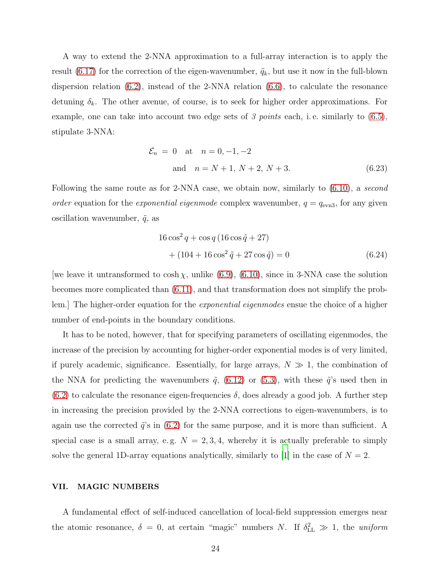A way to extend the 2-NNA approximation to a full-array interaction is to apply the result [\(6.17\)](#page-22-0) for the correction of the eigen-wavenumber,  $\tilde{q}_k$ , but use it now in the full-blown dispersion relation [\(6.2\)](#page-19-1), instead of the 2-NNA relation [\(6.6\)](#page-20-0), to calculate the resonance detuning  $\delta_k$ . The other avenue, of course, is to seek for higher order approximations. For example, one can take into account two edge sets of 3 points each, i.e. similarly to  $(6.5)$ , stipulate 3-NNA:

$$
\mathcal{E}_n = 0 \quad \text{at} \quad n = 0, -1, -2
$$
  
and  $n = N + 1, N + 2, N + 3.$  (6.23)

Following the same route as for 2-NNA case, we obtain now, similarly to  $(6.10)$ , a second order equation for the exponential eigenmode complex wavenumber,  $q = q_{\text{evn3}}$ , for any given oscillation wavenumber,  $\tilde{q}$ , as

$$
16\cos^2 q + \cos q (16\cos \tilde{q} + 27)
$$
  
+  $(104 + 16\cos^2 \tilde{q} + 27\cos \tilde{q}) = 0$  (6.24)

[we leave it untransformed to  $\cosh \chi$ , unlike [\(6.9\)](#page-20-4), [\(6.10\)](#page-20-3), since in 3-NNA case the solution becomes more complicated than [\(6.11\)](#page-21-4), and that transformation does not simplify the problem.] The higher-order equation for the *exponential eigenmodes* ensue the choice of a higher number of end-points in the boundary conditions.

It has to be noted, however, that for specifying parameters of oscillating eigenmodes, the increase of the precision by accounting for higher-order exponential modes is of very limited, if purely academic, significance. Essentially, for large arrays,  $N \gg 1$ , the combination of the NNA for predicting the wavenumbers  $\tilde{q}$ , [\(6.12\)](#page-21-3) or [\(5.3\)](#page-17-2), with these  $\tilde{q}$ 's used then in  $(6.2)$  to calculate the resonance eigen-frequencies  $\delta$ , does already a good job. A further step in increasing the precision provided by the 2-NNA corrections to eigen-wavenumbers, is to again use the corrected  $\tilde{q}$ 's in [\(6.2\)](#page-19-1) for the same purpose, and it is more than sufficient. A special case is a small array, e.g.  $N = 2, 3, 4$ , whereby it is actually preferable to simply solve the general 1D-array equations analytically, similarly to [\[1](#page-37-0)] in the case of  $N = 2$ .

#### <span id="page-23-0"></span>VII. MAGIC NUMBERS

A fundamental effect of self-induced cancellation of local-field suppression emerges near the atomic resonance,  $\delta = 0$ , at certain "magic" numbers N. If  $\delta_{\text{LL}}^2 \gg 1$ , the uniform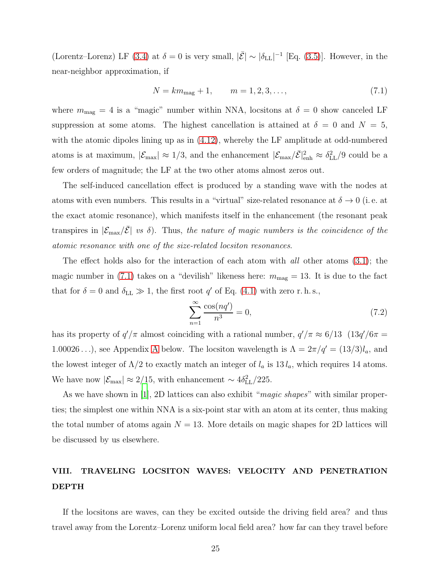(Lorentz–Lorenz) LF [\(3.4\)](#page-10-1) at  $\delta = 0$  is very small,  $|\bar{\mathcal{E}}| \sim |\delta_{\text{LL}}|^{-1}$  [Eq. [\(3.5\)](#page-10-3)]. However, in the near-neighbor approximation, if

<span id="page-24-1"></span>
$$
N = km_{\text{mag}} + 1, \qquad m = 1, 2, 3, \dots,
$$
\n(7.1)

where  $m_{\text{mag}} = 4$  is a "magic" number within NNA, locsitons at  $\delta = 0$  show canceled LF suppression at some atoms. The highest cancellation is attained at  $\delta = 0$  and  $N = 5$ , with the atomic dipoles lining up as in  $(4.12)$ , whereby the LF amplitude at odd-numbered atoms is at maximum,  $|\mathcal{E}_{\text{max}}| \approx 1/3$ , and the enhancement  $|\mathcal{E}_{\text{max}}/\bar{\mathcal{E}}|_{\text{enh}}^2 \approx \delta_{\text{LL}}^2/9$  could be a few orders of magnitude; the LF at the two other atoms almost zeros out.

The self-induced cancellation effect is produced by a standing wave with the nodes at atoms with even numbers. This results in a "virtual" size-related resonance at  $\delta \to 0$  (i.e. at the exact atomic resonance), which manifests itself in the enhancement (the resonant peak transpires in  $|\mathcal{E}_{\text{max}}/\bar{\mathcal{E}}|$  vs  $\delta$ ). Thus, the nature of magic numbers is the coincidence of the atomic resonance with one of the size-related locsiton resonances.

The effect holds also for the interaction of each atom with *all* other atoms  $(3.1)$ ; the magic number in [\(7.1\)](#page-24-1) takes on a "devilish" likeness here:  $m_{\text{mag}} = 13$ . It is due to the fact that for  $\delta = 0$  and  $\delta_{LL} \gg 1$ , the first root  $q'$  of Eq. [\(4.1\)](#page-11-1) with zero r.h.s.,

<span id="page-24-2"></span>
$$
\sum_{n=1}^{\infty} \frac{\cos(nq')}{n^3} = 0,
$$
\n(7.2)

has its property of  $q'/\pi$  almost coinciding with a rational number,  $q'/\pi \approx 6/13$  (13 $q'/6\pi =$ 1.00026...), see [A](#page-34-0)ppendix A below. The locsiton wavelength is  $\Lambda = 2\pi/q' = (13/3)l_a$ , and the lowest integer of  $\Lambda/2$  to exactly match an integer of  $l_a$  is  $13 l_a$ , which requires 14 atoms. We have now  $|\mathcal{E}_{\text{max}}| \approx 2/15$ , with enhancement ~  $4\delta_{\text{LL}}^2/225$ .

As we have shown in [\[1](#page-37-0)], 2D lattices can also exhibit "*magic shapes*" with similar properties; the simplest one within NNA is a six-point star with an atom at its center, thus making the total number of atoms again  $N = 13$ . More details on magic shapes for 2D lattices will be discussed by us elsewhere.

### <span id="page-24-0"></span>VIII. TRAVELING LOCSITON WAVES: VELOCITY AND PENETRATION DEPTH

If the locsitons are waves, can they be excited outside the driving field area? and thus travel away from the Lorentz–Lorenz uniform local field area? how far can they travel before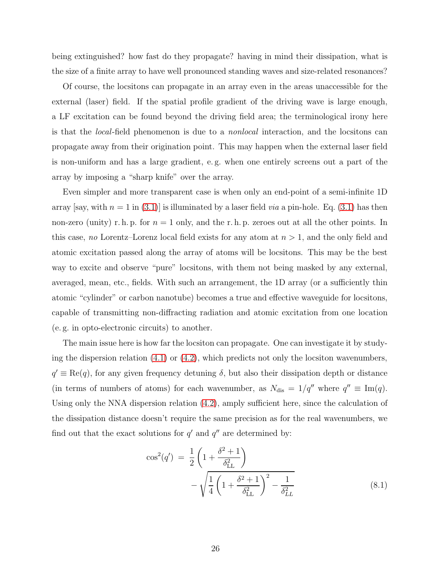being extinguished? how fast do they propagate? having in mind their dissipation, what is the size of a finite array to have well pronounced standing waves and size-related resonances?

Of course, the locsitons can propagate in an array even in the areas unaccessible for the external (laser) field. If the spatial profile gradient of the driving wave is large enough, a LF excitation can be found beyond the driving field area; the terminological irony here is that the local-field phenomenon is due to a nonlocal interaction, and the locsitons can propagate away from their origination point. This may happen when the external laser field is non-uniform and has a large gradient, e. g. when one entirely screens out a part of the array by imposing a "sharp knife" over the array.

Even simpler and more transparent case is when only an end-point of a semi-infinite 1D array  $|$ say, with  $n = 1$  in [\(3.1\)](#page-8-2) is illuminated by a laser field *via* a pin-hole. Eq. (3.1) has then non-zero (unity) r. h. p. for  $n = 1$  only, and the r. h. p. zeroes out at all the other points. In this case, no Lorentz–Lorenz local field exists for any atom at  $n > 1$ , and the only field and atomic excitation passed along the array of atoms will be locsitons. This may be the best way to excite and observe "pure" locsitons, with them not being masked by any external, averaged, mean, etc., fields. With such an arrangement, the 1D array (or a sufficiently thin atomic "cylinder" or carbon nanotube) becomes a true and effective waveguide for locsitons, capable of transmitting non-diffracting radiation and atomic excitation from one location (e. g. in opto-electronic circuits) to another.

The main issue here is how far the locsiton can propagate. One can investigate it by studying the dispersion relation  $(4.1)$  or  $(4.2)$ , which predicts not only the locsiton wavenumbers,  $q' \equiv \text{Re}(q)$ , for any given frequency detuning  $\delta$ , but also their dissipation depth or distance (in terms of numbers of atoms) for each wavenumber, as  $N_{dis} = 1/q''$  where  $q'' \equiv \text{Im}(q)$ . Using only the NNA dispersion relation [\(4.2\)](#page-12-0), amply sufficient here, since the calculation of the dissipation distance doesn't require the same precision as for the real wavenumbers, we find out that the exact solutions for  $q'$  and  $q''$  are determined by:

<span id="page-25-0"></span>
$$
\cos^{2}(q') = \frac{1}{2} \left( 1 + \frac{\delta^{2} + 1}{\delta_{\text{LL}}^{2}} \right) - \sqrt{\frac{1}{4} \left( 1 + \frac{\delta^{2} + 1}{\delta_{\text{LL}}^{2}} \right)^{2} - \frac{1}{\delta_{LL}^{2}}} \tag{8.1}
$$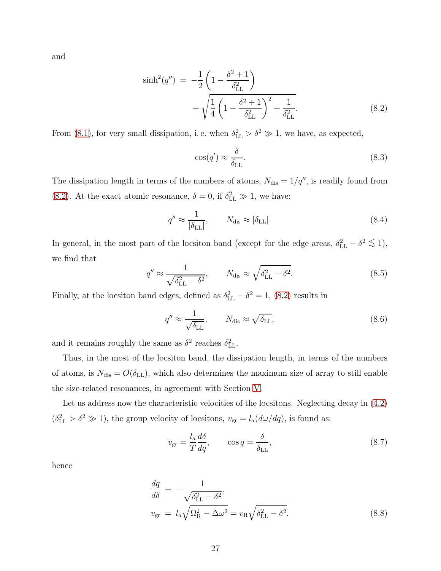and

<span id="page-26-0"></span>
$$
\sinh^{2}(q'') = -\frac{1}{2} \left( 1 - \frac{\delta^{2} + 1}{\delta_{\text{LL}}^{2}} \right) + \sqrt{\frac{1}{4} \left( 1 - \frac{\delta^{2} + 1}{\delta_{\text{LL}}^{2}} \right)^{2} + \frac{1}{\delta_{\text{LL}}^{2}}}.
$$
\n(8.2)

From [\(8.1\)](#page-25-0), for very small dissipation, i.e. when  $\delta_{\text{LL}}^2 > \delta^2 \gg 1$ , we have, as expected,

$$
\cos(q') \approx \frac{\delta}{\delta_{\text{LL}}}.\tag{8.3}
$$

The dissipation length in terms of the numbers of atoms,  $N_{\text{dis}} = 1/q''$ , is readily found from [\(8.2\)](#page-26-0). At the exact atomic resonance,  $\delta = 0$ , if  $\delta_{\text{LL}}^2 \gg 1$ , we have:

$$
q'' \approx \frac{1}{|\delta_{\rm LL}|}, \qquad N_{\rm dis} \approx |\delta_{\rm LL}|. \tag{8.4}
$$

In general, in the most part of the locsiton band (except for the edge areas,  $\delta_{LL}^2 - \delta^2 \lesssim 1$ ), we find that

$$
q'' \approx \frac{1}{\sqrt{\delta_{\text{LL}}^2 - \delta^2}}, \qquad N_{\text{dis}} \approx \sqrt{\delta_{\text{LL}}^2 - \delta^2}.
$$
 (8.5)

Finally, at the locsiton band edges, defined as  $\delta_{\text{LL}}^2 - \delta^2 = 1$ , [\(8.2\)](#page-26-0) results in

$$
q'' \approx \frac{1}{\sqrt{\delta_{\rm LL}}}, \qquad N_{\rm dis} \approx \sqrt{\delta_{\rm LL}}, \tag{8.6}
$$

and it remains roughly the same as  $\delta^2$  reaches  $\delta_{\text{LL}}^2$ .

Thus, in the most of the locsiton band, the dissipation length, in terms of the numbers of atoms, is  $N_{\text{dis}} = O(\delta_{\text{LL}})$ , which also determines the maximum size of array to still enable the size-related resonances, in agreement with Section [V.](#page-17-0)

Let us address now the characteristic velocities of the locsitons. Neglecting decay in  $(4.2)$  $(\delta_{\text{LL}}^2 > \delta^2 \gg 1)$ , the group velocity of locsitons,  $v_{\text{gr}} = l_a(d\omega/dq)$ , is found as:

$$
v_{\rm gr} = \frac{l_a}{T} \frac{d\delta}{dq}, \qquad \cos q = \frac{\delta}{\delta_{\rm LL}}, \tag{8.7}
$$

hence

$$
\frac{dq}{d\delta} = -\frac{1}{\sqrt{\delta_{\text{LL}}^2 - \delta^2}},
$$
\n
$$
v_{\text{gr}} = l_a \sqrt{\Omega_{\text{R}}^2 - \Delta \omega^2} = v_{\text{R}} \sqrt{\delta_{\text{LL}}^2 - \delta^2},
$$
\n(8.8)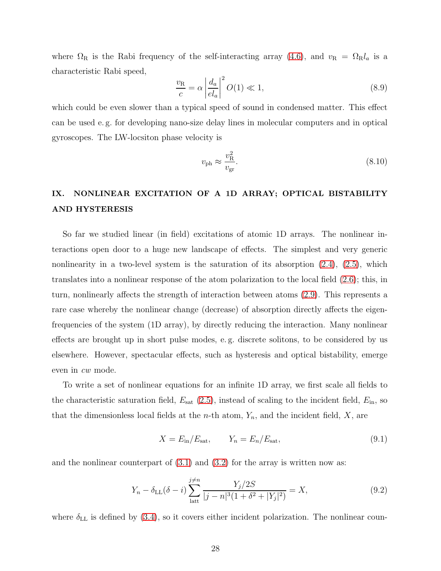where  $\Omega_R$  is the Rabi frequency of the self-interacting array [\(4.6\)](#page-13-2), and  $v_R = \Omega_R l_a$  is a characteristic Rabi speed,

$$
\frac{v_{\rm R}}{c} = \alpha \left| \frac{d_a}{el_a} \right|^2 O(1) \ll 1,\tag{8.9}
$$

which could be even slower than a typical speed of sound in condensed matter. This effect can be used e. g. for developing nano-size delay lines in molecular computers and in optical gyroscopes. The LW-locsiton phase velocity is

$$
v_{\rm ph} \approx \frac{v_{\rm R}^2}{v_{\rm gr}}.\tag{8.10}
$$

# <span id="page-27-0"></span>IX. NONLINEAR EXCITATION OF A 1D ARRAY; OPTICAL BISTABILITY AND HYSTERESIS

So far we studied linear (in field) excitations of atomic 1D arrays. The nonlinear interactions open door to a huge new landscape of effects. The simplest and very generic nonlinearity in a two-level system is the saturation of its absorption  $(2.4)$ ,  $(2.5)$ , which translates into a nonlinear response of the atom polarization to the local field [\(2.6\)](#page-6-1); this, in turn, nonlinearly affects the strength of interaction between atoms [\(2.9\)](#page-6-3). This represents a rare case whereby the nonlinear change (decrease) of absorption directly affects the eigenfrequencies of the system (1D array), by directly reducing the interaction. Many nonlinear effects are brought up in short pulse modes, e. g. discrete solitons, to be considered by us elsewhere. However, spectacular effects, such as hysteresis and optical bistability, emerge even in cw mode.

To write a set of nonlinear equations for an infinite 1D array, we first scale all fields to the characteristic saturation field,  $E_{\text{sat}}$  [\(2.5\)](#page-6-0), instead of scaling to the incident field,  $E_{\text{in}}$ , so that the dimensionless local fields at the *n*-th atom,  $Y_n$ , and the incident field, X, are

$$
X = E_{\rm in}/E_{\rm sat}, \qquad Y_n = E_n/E_{\rm sat}, \tag{9.1}
$$

and the nonlinear counterpart of  $(3.1)$  and  $(3.2)$  for the array is written now as:

$$
Y_n - \delta_{\text{LL}}(\delta - i) \sum_{\text{latt}}^{j \neq n} \frac{Y_j/2S}{|j - n|^3 (1 + \delta^2 + |Y_j|^2)} = X,\tag{9.2}
$$

where  $\delta_{LL}$  is defined by [\(3.4\)](#page-10-1), so it covers either incident polarization. The nonlinear coun-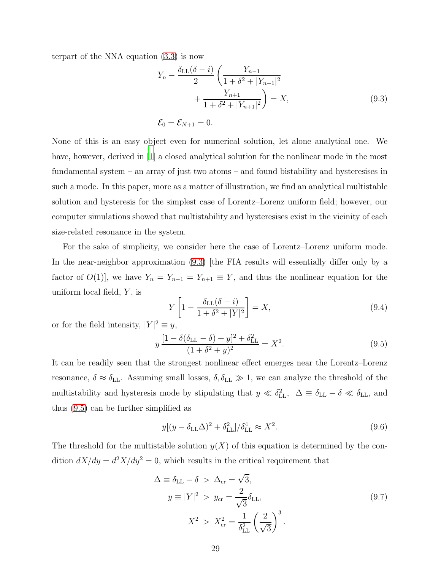terpart of the NNA equation [\(3.3\)](#page-9-1) is now

<span id="page-28-0"></span>
$$
Y_n - \frac{\delta_{\text{LL}}(\delta - i)}{2} \left( \frac{Y_{n-1}}{1 + \delta^2 + |Y_{n-1}|^2} + \frac{Y_{n+1}}{1 + \delta^2 + |Y_{n+1}|^2} \right) = X,
$$
\n
$$
\mathcal{E}_0 = \mathcal{E}_{N+1} = 0.
$$
\n(9.3)

None of this is an easy object even for numerical solution, let alone analytical one. We have, however, derived in [\[1\]](#page-37-0) a closed analytical solution for the nonlinear mode in the most fundamental system – an array of just two atoms – and found bistability and hysteresises in such a mode. In this paper, more as a matter of illustration, we find an analytical multistable solution and hysteresis for the simplest case of Lorentz–Lorenz uniform field; however, our computer simulations showed that multistability and hysteresises exist in the vicinity of each size-related resonance in the system.

For the sake of simplicity, we consider here the case of Lorentz–Lorenz uniform mode. In the near-neighbor approximation [\(9.3\)](#page-28-0) |the FIA results will essentially differ only by a factor of  $O(1)$ , we have  $Y_n = Y_{n-1} = Y_{n+1} \equiv Y$ , and thus the nonlinear equation for the uniform local field,  $Y$ , is

$$
Y\left[1 - \frac{\delta_{\text{LL}}(\delta - i)}{1 + \delta^2 + |Y|^2}\right] = X,\tag{9.4}
$$

or for the field intensity,  $|Y|^2 \equiv y$ ,

<span id="page-28-1"></span>
$$
y\frac{[1-\delta(\delta_{\rm LL}-\delta)+y]^2+\delta_{\rm LL}^2}{(1+\delta^2+y)^2}=X^2.
$$
\n(9.5)

It can be readily seen that the strongest nonlinear effect emerges near the Lorentz–Lorenz resonance,  $\delta \approx \delta_{\text{LL}}$ . Assuming small losses,  $\delta, \delta_{\text{LL}} \gg 1$ , we can analyze the threshold of the multistability and hysteresis mode by stipulating that  $y \ll \delta_{\text{LL}}^2$ ,  $\Delta \equiv \delta_{\text{LL}} - \delta \ll \delta_{\text{LL}}$ , and thus [\(9.5\)](#page-28-1) can be further simplified as

$$
y[(y - \delta_{\text{LL}}\Delta)^2 + \delta_{\text{LL}}^2]/\delta_{\text{LL}}^4 \approx X^2. \tag{9.6}
$$

The threshold for the multistable solution  $y(X)$  of this equation is determined by the condition  $dX/dy = d^2X/dy^2 = 0$ , which results in the critical requirement that

$$
\Delta \equiv \delta_{\rm LL} - \delta > \Delta_{\rm cr} = \sqrt{3},
$$
  
\n
$$
y \equiv |Y|^2 > y_{\rm cr} = \frac{2}{\sqrt{3}} \delta_{\rm LL},
$$
  
\n
$$
X^2 > X_{\rm cr}^2 = \frac{1}{\delta_{\rm LL}^2} \left(\frac{2}{\sqrt{3}}\right)^3.
$$
\n(9.7)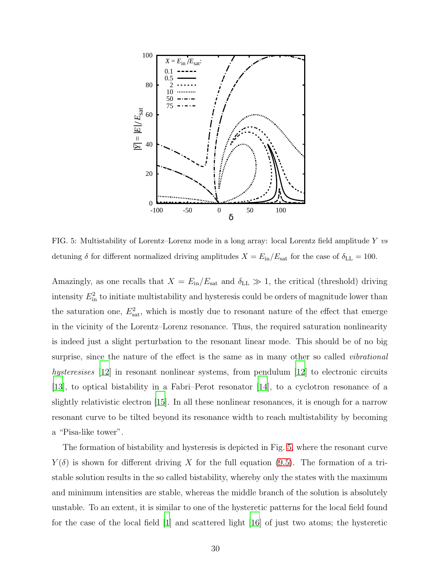

<span id="page-29-0"></span>FIG. 5: Multistability of Lorentz–Lorenz mode in a long array: local Lorentz field amplitude Y vs detuning  $\delta$  for different normalized driving amplitudes  $X = E_{\text{in}}/E_{\text{sat}}$  for the case of  $\delta_{\text{LL}} = 100$ .

Amazingly, as one recalls that  $X = E_{\text{in}}/E_{\text{sat}}$  and  $\delta_{\text{LL}} \gg 1$ , the critical (threshold) driving intensity  $E_{\text{in}}^2$  to initiate multistability and hysteresis could be orders of magnitude lower than the saturation one,  $E_{\text{sat}}^2$ , which is mostly due to resonant nature of the effect that emerge in the vicinity of the Lorentz–Lorenz resonance. Thus, the required saturation nonlinearity is indeed just a slight perturbation to the resonant linear mode. This should be of no big surprise, since the nature of the effect is the same as in many other so called *vibrational* hysteresises [\[12\]](#page-37-11) in resonant nonlinear systems, from pendulum [\[12\]](#page-37-11) to electronic circuits [\[13\]](#page-37-12), to optical bistability in a Fabri–Perot resonator [\[14](#page-37-13)], to a cyclotron resonance of a slightly relativistic electron [\[15\]](#page-37-14). In all these nonlinear resonances, it is enough for a narrow resonant curve to be tilted beyond its resonance width to reach multistability by becoming a "Pisa-like tower".

The formation of bistability and hysteresis is depicted in Fig. [5,](#page-29-0) where the resonant curve  $Y(\delta)$  is shown for different driving X for the full equation [\(9.5\)](#page-28-1). The formation of a tristable solution results in the so called bistability, whereby only the states with the maximum and minimum intensities are stable, whereas the middle branch of the solution is absolutely unstable. To an extent, it is similar to one of the hysteretic patterns for the local field found for the case of the local field [\[1](#page-37-0)] and scattered light [\[16](#page-37-15)] of just two atoms; the hysteretic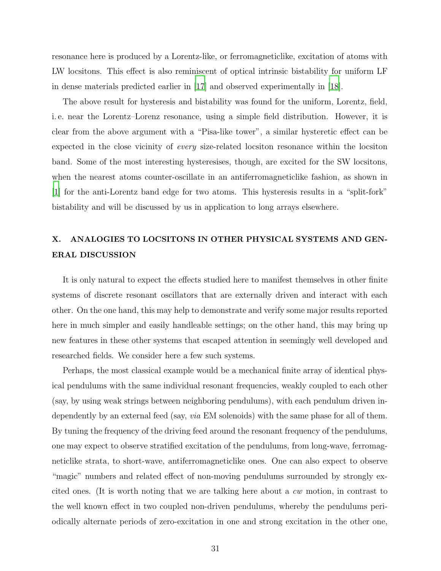resonance here is produced by a Lorentz-like, or ferromagneticlike, excitation of atoms with LW locsitons. This effect is also reminiscent of optical intrinsic bistability for uniform LF in dense materials predicted earlier in [\[17](#page-38-1)] and observed experimentally in [\[18](#page-38-2)].

The above result for hysteresis and bistability was found for the uniform, Lorentz, field, i. e. near the Lorentz–Lorenz resonance, using a simple field distribution. However, it is clear from the above argument with a "Pisa-like tower", a similar hysteretic effect can be expected in the close vicinity of every size-related locsiton resonance within the locsiton band. Some of the most interesting hysteresises, though, are excited for the SW locsitons, when the nearest atoms counter-oscillate in an antiferromagneticlike fashion, as shown in [\[1](#page-37-0)] for the anti-Lorentz band edge for two atoms. This hysteresis results in a "split-fork" bistability and will be discussed by us in application to long arrays elsewhere.

# <span id="page-30-0"></span>X. ANALOGIES TO LOCSITONS IN OTHER PHYSICAL SYSTEMS AND GEN-ERAL DISCUSSION

It is only natural to expect the effects studied here to manifest themselves in other finite systems of discrete resonant oscillators that are externally driven and interact with each other. On the one hand, this may help to demonstrate and verify some major results reported here in much simpler and easily handleable settings; on the other hand, this may bring up new features in these other systems that escaped attention in seemingly well developed and researched fields. We consider here a few such systems.

Perhaps, the most classical example would be a mechanical finite array of identical physical pendulums with the same individual resonant frequencies, weakly coupled to each other (say, by using weak strings between neighboring pendulums), with each pendulum driven independently by an external feed (say, *via* EM solenoids) with the same phase for all of them. By tuning the frequency of the driving feed around the resonant frequency of the pendulums, one may expect to observe stratified excitation of the pendulums, from long-wave, ferromagneticlike strata, to short-wave, antiferromagneticlike ones. One can also expect to observe "magic" numbers and related effect of non-moving pendulums surrounded by strongly excited ones. (It is worth noting that we are talking here about a cw motion, in contrast to the well known effect in two coupled non-driven pendulums, whereby the pendulums periodically alternate periods of zero-excitation in one and strong excitation in the other one,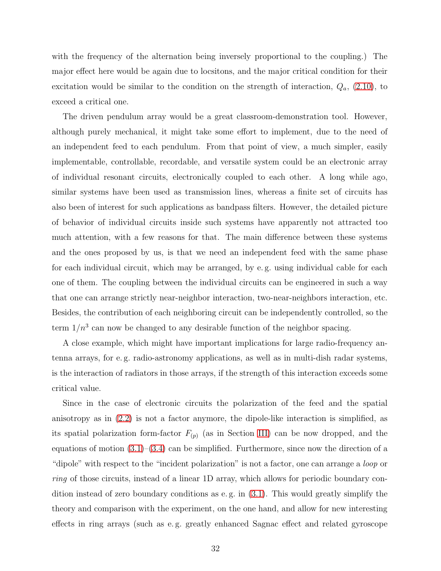with the frequency of the alternation being inversely proportional to the coupling.) The major effect here would be again due to locsitons, and the major critical condition for their excitation would be similar to the condition on the strength of interaction,  $Q_a$ , [\(2.10\)](#page-6-4), to exceed a critical one.

The driven pendulum array would be a great classroom-demonstration tool. However, although purely mechanical, it might take some effort to implement, due to the need of an independent feed to each pendulum. From that point of view, a much simpler, easily implementable, controllable, recordable, and versatile system could be an electronic array of individual resonant circuits, electronically coupled to each other. A long while ago, similar systems have been used as transmission lines, whereas a finite set of circuits has also been of interest for such applications as bandpass filters. However, the detailed picture of behavior of individual circuits inside such systems have apparently not attracted too much attention, with a few reasons for that. The main difference between these systems and the ones proposed by us, is that we need an independent feed with the same phase for each individual circuit, which may be arranged, by e. g. using individual cable for each one of them. The coupling between the individual circuits can be engineered in such a way that one can arrange strictly near-neighbor interaction, two-near-neighbors interaction, etc. Besides, the contribution of each neighboring circuit can be independently controlled, so the term  $1/n^3$  can now be changed to any desirable function of the neighbor spacing.

A close example, which might have important implications for large radio-frequency antenna arrays, for e. g. radio-astronomy applications, as well as in multi-dish radar systems, is the interaction of radiators in those arrays, if the strength of this interaction exceeds some critical value.

Since in the case of electronic circuits the polarization of the feed and the spatial anisotropy as in [\(2.2\)](#page-5-1) is not a factor anymore, the dipole-like interaction is simplified, as its spatial polarization form-factor  $F_{(p)}$  (as in Section [III\)](#page-8-0) can be now dropped, and the equations of motion  $(3.1)$ – $(3.4)$  can be simplified. Furthermore, since now the direction of a "dipole" with respect to the "incident polarization" is not a factor, one can arrange a *loop* or ring of those circuits, instead of a linear 1D array, which allows for periodic boundary condition instead of zero boundary conditions as e. g. in [\(3.1\)](#page-8-2). This would greatly simplify the theory and comparison with the experiment, on the one hand, and allow for new interesting effects in ring arrays (such as e. g. greatly enhanced Sagnac effect and related gyroscope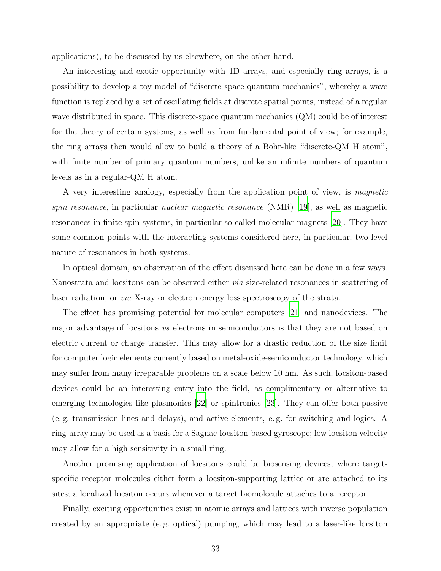applications), to be discussed by us elsewhere, on the other hand.

An interesting and exotic opportunity with 1D arrays, and especially ring arrays, is a possibility to develop a toy model of "discrete space quantum mechanics", whereby a wave function is replaced by a set of oscillating fields at discrete spatial points, instead of a regular wave distributed in space. This discrete-space quantum mechanics (QM) could be of interest for the theory of certain systems, as well as from fundamental point of view; for example, the ring arrays then would allow to build a theory of a Bohr-like "discrete-QM H atom", with finite number of primary quantum numbers, unlike an infinite numbers of quantum levels as in a regular-QM H atom.

A very interesting analogy, especially from the application point of view, is magnetic spin resonance, in particular *nuclear magnetic resonance* (NMR) [\[19](#page-38-3)], as well as magnetic resonances in finite spin systems, in particular so called molecular magnets [\[20](#page-38-4)]. They have some common points with the interacting systems considered here, in particular, two-level nature of resonances in both systems.

In optical domain, an observation of the effect discussed here can be done in a few ways. Nanostrata and locsitons can be observed either via size-related resonances in scattering of laser radiation, or via X-ray or electron energy loss spectroscopy of the strata.

The effect has promising potential for molecular computers [\[21\]](#page-38-5) and nanodevices. The major advantage of locsitons vs electrons in semiconductors is that they are not based on electric current or charge transfer. This may allow for a drastic reduction of the size limit for computer logic elements currently based on metal-oxide-semiconductor technology, which may suffer from many irreparable problems on a scale below 10 nm. As such, locsiton-based devices could be an interesting entry into the field, as complimentary or alternative to emerging technologies like plasmonics [\[22\]](#page-38-6) or spintronics [\[23\]](#page-38-7). They can offer both passive (e. g. transmission lines and delays), and active elements, e. g. for switching and logics. A ring-array may be used as a basis for a Sagnac-locsiton-based gyroscope; low locsiton velocity may allow for a high sensitivity in a small ring.

Another promising application of locsitons could be biosensing devices, where targetspecific receptor molecules either form a locsiton-supporting lattice or are attached to its sites; a localized locsiton occurs whenever a target biomolecule attaches to a receptor.

Finally, exciting opportunities exist in atomic arrays and lattices with inverse population created by an appropriate (e. g. optical) pumping, which may lead to a laser-like locsiton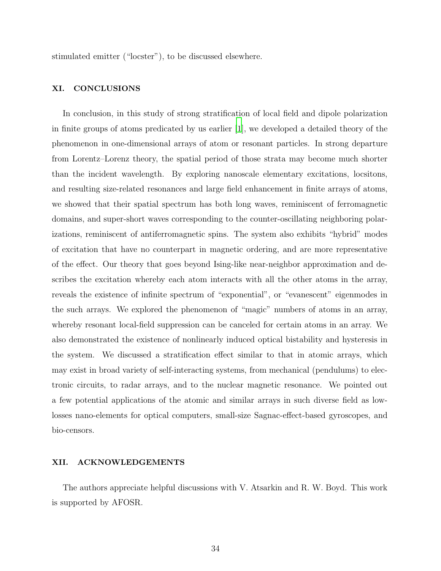stimulated emitter ("locster"), to be discussed elsewhere.

### <span id="page-33-0"></span>XI. CONCLUSIONS

In conclusion, in this study of strong stratification of local field and dipole polarization in finite groups of atoms predicated by us earlier [\[1](#page-37-0)], we developed a detailed theory of the phenomenon in one-dimensional arrays of atom or resonant particles. In strong departure from Lorentz–Lorenz theory, the spatial period of those strata may become much shorter than the incident wavelength. By exploring nanoscale elementary excitations, locsitons, and resulting size-related resonances and large field enhancement in finite arrays of atoms, we showed that their spatial spectrum has both long waves, reminiscent of ferromagnetic domains, and super-short waves corresponding to the counter-oscillating neighboring polarizations, reminiscent of antiferromagnetic spins. The system also exhibits "hybrid" modes of excitation that have no counterpart in magnetic ordering, and are more representative of the effect. Our theory that goes beyond Ising-like near-neighbor approximation and describes the excitation whereby each atom interacts with all the other atoms in the array, reveals the existence of infinite spectrum of "exponential", or "evanescent" eigenmodes in the such arrays. We explored the phenomenon of "magic" numbers of atoms in an array, whereby resonant local-field suppression can be canceled for certain atoms in an array. We also demonstrated the existence of nonlinearly induced optical bistability and hysteresis in the system. We discussed a stratification effect similar to that in atomic arrays, which may exist in broad variety of self-interacting systems, from mechanical (pendulums) to electronic circuits, to radar arrays, and to the nuclear magnetic resonance. We pointed out a few potential applications of the atomic and similar arrays in such diverse field as lowlosses nano-elements for optical computers, small-size Sagnac-effect-based gyroscopes, and bio-censors.

#### XII. ACKNOWLEDGEMENTS

The authors appreciate helpful discussions with V. Atsarkin and R. W. Boyd. This work is supported by AFOSR.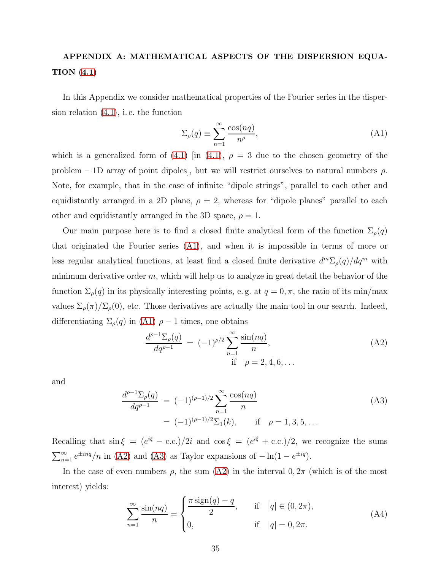# <span id="page-34-0"></span>APPENDIX A: MATHEMATICAL ASPECTS OF THE DISPERSION EQUA-TION [\(4.1\)](#page-11-1)

In this Appendix we consider mathematical properties of the Fourier series in the dispersion relation [\(4.1\)](#page-11-1), i. e. the function

<span id="page-34-1"></span>
$$
\Sigma_{\rho}(q) \equiv \sum_{n=1}^{\infty} \frac{\cos(nq)}{n^{\rho}},\tag{A1}
$$

which is a generalized form of [\(4.1\)](#page-11-1) [in (4.1),  $\rho = 3$  due to the chosen geometry of the problem – 1D array of point dipoles, but we will restrict ourselves to natural numbers  $\rho$ . Note, for example, that in the case of infinite "dipole strings", parallel to each other and equidistantly arranged in a 2D plane,  $\rho = 2$ , whereas for "dipole planes" parallel to each other and equidistantly arranged in the 3D space,  $\rho = 1$ .

Our main purpose here is to find a closed finite analytical form of the function  $\Sigma_{\rho}(q)$ that originated the Fourier series [\(A1\)](#page-34-1), and when it is impossible in terms of more or less regular analytical functions, at least find a closed finite derivative  $d^m \Sigma_\rho(q) / dq^m$  with minimum derivative order  $m$ , which will help us to analyze in great detail the behavior of the function  $\Sigma_{\rho}(q)$  in its physically interesting points, e.g. at  $q = 0, \pi$ , the ratio of its min/max values  $\Sigma_{\rho}(\pi)/\Sigma_{\rho}(0)$ , etc. Those derivatives are actually the main tool in our search. Indeed, differentiating  $\Sigma_{\rho}(q)$  in [\(A1\)](#page-34-1)  $\rho - 1$  times, one obtains

<span id="page-34-2"></span>
$$
\frac{d^{\rho-1}\Sigma_{\rho}(q)}{dq^{\rho-1}} = (-1)^{\rho/2} \sum_{n=1}^{\infty} \frac{\sin(nq)}{n},
$$
\nif

\n
$$
\rho = 2, 4, 6, \dots
$$
\n(A2)

and

<span id="page-34-3"></span>
$$
\frac{d^{\rho-1}\Sigma_{\rho}(q)}{dq^{\rho-1}} = (-1)^{(\rho-1)/2} \sum_{n=1}^{\infty} \frac{\cos(nq)}{n}
$$
  
=  $(-1)^{(\rho-1)/2} \Sigma_1(k)$ , if  $\rho = 1, 3, 5, ...$  (A3)

Recalling that  $\sin \xi = (e^{i\xi} - \text{c.c.})/2i$  and  $\cos \xi = (e^{i\xi} + \text{c.c.})/2$ , we recognize the sums  $\sum_{n=1}^{\infty} e^{\pm i nq}/n$  in [\(A2\)](#page-34-2) and [\(A3\)](#page-34-3) as Taylor expansions of  $-\ln(1 - e^{\pm iq})$ .

In the case of even numbers  $\rho$ , the sum [\(A2\)](#page-34-2) in the interval  $0, 2\pi$  (which is of the most interest) yields:

<span id="page-34-4"></span>
$$
\sum_{n=1}^{\infty} \frac{\sin(nq)}{n} = \begin{cases} \frac{\pi \operatorname{sign}(q) - q}{2}, & \text{if } |q| \in (0, 2\pi), \\ 0, & \text{if } |q| = 0, 2\pi. \end{cases}
$$
(A4)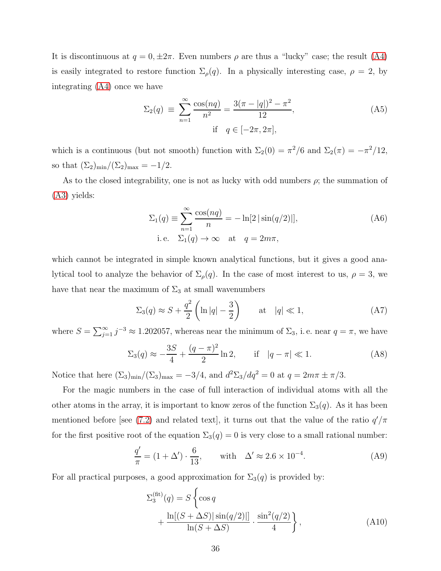It is discontinuous at  $q = 0, \pm 2\pi$ . Even numbers  $\rho$  are thus a "lucky" case; the result [\(A4\)](#page-34-4) is easily integrated to restore function  $\Sigma_{\rho}(q)$ . In a physically interesting case,  $\rho = 2$ , by integrating [\(A4\)](#page-34-4) once we have

$$
\Sigma_2(q) \equiv \sum_{n=1}^{\infty} \frac{\cos(nq)}{n^2} = \frac{3(\pi - |q|)^2 - \pi^2}{12},
$$
\n(A5)

\nif  $q \in [-2\pi, 2\pi]$ ,

which is a continuous (but not smooth) function with  $\Sigma_2(0) = \pi^2/6$  and  $\Sigma_2(\pi) = -\pi^2/12$ , so that  $(\Sigma_2)_{\text{min}}/(\Sigma_2)_{\text{max}} = -1/2$ .

As to the closed integrability, one is not as lucky with odd numbers  $\rho$ ; the summation of [\(A3\)](#page-34-3) yields:

$$
\Sigma_1(q) \equiv \sum_{n=1}^{\infty} \frac{\cos(nq)}{n} = -\ln[2|\sin(q/2)|],
$$
\ni.e.

\n
$$
\Sigma_1(q) \to \infty \quad \text{at} \quad q = 2m\pi,
$$
\n(A6)

which cannot be integrated in simple known analytical functions, but it gives a good analytical tool to analyze the behavior of  $\Sigma_{\rho}(q)$ . In the case of most interest to us,  $\rho = 3$ , we have that near the maximum of  $\Sigma_3$  at small wavenumbers

$$
\Sigma_3(q) \approx S + \frac{q^2}{2} \left( \ln|q| - \frac{3}{2} \right) \qquad \text{at} \quad |q| \ll 1,
$$
\n(A7)

where  $S = \sum_{j=1}^{\infty} j^{-3} \approx 1.202057$ , whereas near the minimum of  $\Sigma_3$ , i.e. near  $q = \pi$ , we have

$$
\Sigma_3(q) \approx -\frac{3S}{4} + \frac{(q - \pi)^2}{2} \ln 2
$$
, if  $|q - \pi| \ll 1$ . (A8)

Notice that here  $(\Sigma_3)_{\min}/(\Sigma_3)_{\max} = -3/4$ , and  $d^2\Sigma_3/dq^2 = 0$  at  $q = 2m\pi \pm \pi/3$ .

For the magic numbers in the case of full interaction of individual atoms with all the other atoms in the array, it is important to know zeros of the function  $\Sigma_3(q)$ . As it has been mentioned before [see [\(7.2\)](#page-24-2) and related text], it turns out that the value of the ratio  $q'/\pi$ for the first positive root of the equation  $\Sigma_3(q)=0$  is very close to a small rational number:

<span id="page-35-1"></span>
$$
\frac{q'}{\pi} = (1 + \Delta') \cdot \frac{6}{13}, \quad \text{with} \quad \Delta' \approx 2.6 \times 10^{-4}.
$$
 (A9)

For all practical purposes, a good approximation for  $\Sigma_3(q)$  is provided by:

<span id="page-35-0"></span>
$$
\Sigma_3^{\text{(fit)}}(q) = S \left\{ \cos q \right.+ \frac{\ln[(S + \Delta S) | \sin(q/2) |]}{\ln(S + \Delta S)} \cdot \frac{\sin^2(q/2)}{4} \right\},
$$
\n(A10)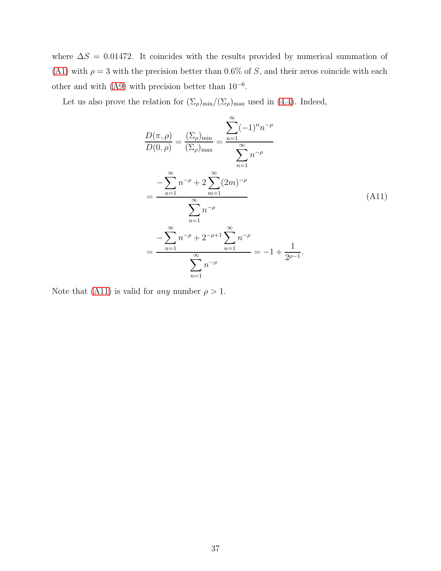where  $\Delta S = 0.01472$ . It coincides with the results provided by numerical summation of [\(A1\)](#page-34-1) with  $\rho = 3$  with the precision better than 0.6% of S, and their zeros coincide with each other and with  $(A9)$  with precision better than  $10^{-6}$ .

Let us also prove the relation for  $(\Sigma_{\rho})_{\text{min}}/(\Sigma_{\rho})_{\text{max}}$  used in [\(4.4\)](#page-13-0). Indeed,

<span id="page-36-0"></span>
$$
\frac{D(\pi,\rho)}{D(0,\rho)} = \frac{(\Sigma_{\rho})_{\min}}{(\Sigma_{\rho})_{\max}} = \frac{\sum_{n=1}^{\infty} (-1)^n n^{-\rho}}{\sum_{n=1}^{\infty} n^{-\rho}}
$$

$$
= \frac{-\sum_{n=1}^{\infty} n^{-\rho} + 2\sum_{m=1}^{\infty} (2m)^{-\rho}}{\sum_{n=1}^{\infty} n^{-\rho}}
$$
(A11)
$$
= \frac{-\sum_{n=1}^{\infty} n^{-\rho} + 2^{-\rho+1} \sum_{n=1}^{\infty} n^{-\rho}}{\sum_{n=1}^{\infty} n^{-\rho}} = -1 + \frac{1}{2^{\rho-1}}.
$$

Note that [\(A11\)](#page-36-0) is valid for *any* number  $\rho > 1$ .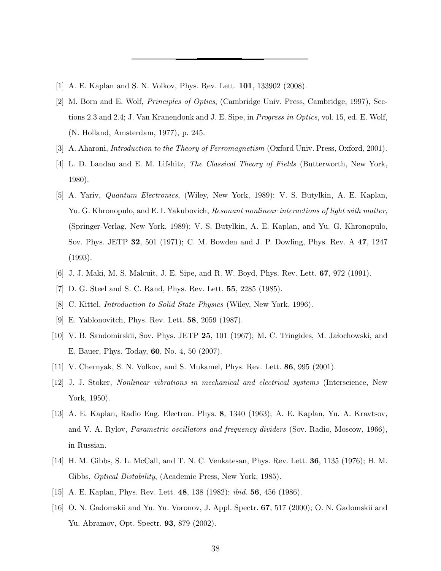- <span id="page-37-1"></span><span id="page-37-0"></span>[1] A. E. Kaplan and S. N. Volkov, Phys. Rev. Lett. 101, 133902 (2008).
- [2] M. Born and E. Wolf, Principles of Optics, (Cambridge Univ. Press, Cambridge, 1997), Sections 2.3 and 2.4; J. Van Kranendonk and J. E. Sipe, in Progress in Optics, vol. 15, ed. E. Wolf, (N. Holland, Amsterdam, 1977), p. 245.
- <span id="page-37-3"></span><span id="page-37-2"></span>[3] A. Aharoni, *Introduction to the Theory of Ferromagnetism* (Oxford Univ. Press, Oxford, 2001).
- [4] L. D. Landau and E. M. Lifshitz, The Classical Theory of Fields (Butterworth, New York, 1980).
- <span id="page-37-4"></span>[5] A. Yariv, Quantum Electronics, (Wiley, New York, 1989); V. S. Butylkin, A. E. Kaplan, Yu. G. Khronopulo, and E. I. Yakubovich, Resonant nonlinear interactions of light with matter, (Springer-Verlag, New York, 1989); V. S. Butylkin, A. E. Kaplan, and Yu. G. Khronopulo, Sov. Phys. JETP 32, 501 (1971); C. M. Bowden and J. P. Dowling, Phys. Rev. A 47, 1247 (1993).
- <span id="page-37-5"></span>[6] J. J. Maki, M. S. Malcuit, J. E. Sipe, and R. W. Boyd, Phys. Rev. Lett. 67, 972 (1991).
- <span id="page-37-7"></span><span id="page-37-6"></span>[7] D. G. Steel and S. C. Rand, Phys. Rev. Lett. 55, 2285 (1985).
- [8] C. Kittel, *Introduction to Solid State Physics* (Wiley, New York, 1996).
- <span id="page-37-8"></span>[9] E. Yablonovitch, Phys. Rev. Lett. 58, 2059 (1987).
- <span id="page-37-9"></span>[10] V. B. Sandomirskii, Sov. Phys. JETP  $25$ , 101 (1967); M. C. Tringides, M. Jałochowski, and E. Bauer, Phys. Today, 60, No. 4, 50 (2007).
- <span id="page-37-11"></span><span id="page-37-10"></span>[11] V. Chernyak, S. N. Volkov, and S. Mukamel, Phys. Rev. Lett. 86, 995 (2001).
- [12] J. J. Stoker, Nonlinear vibrations in mechanical and electrical systems (Interscience, New York, 1950).
- <span id="page-37-12"></span>[13] A. E. Kaplan, Radio Eng. Electron. Phys. 8, 1340 (1963); A. E. Kaplan, Yu. A. Kravtsov, and V. A. Rylov, Parametric oscillators and frequency dividers (Sov. Radio, Moscow, 1966), in Russian.
- <span id="page-37-13"></span>[14] H. M. Gibbs, S. L. McCall, and T. N. C. Venkatesan, Phys. Rev. Lett. 36, 1135 (1976); H. M. Gibbs, Optical Bistability, (Academic Press, New York, 1985).
- <span id="page-37-14"></span>[15] A. E. Kaplan, Phys. Rev. Lett. 48, 138 (1982); ibid. 56, 456 (1986).
- <span id="page-37-15"></span>[16] O. N. Gadomskii and Yu. Yu. Voronov, J. Appl. Spectr. 67, 517 (2000); O. N. Gadomskii and Yu. Abramov, Opt. Spectr. 93, 879 (2002).